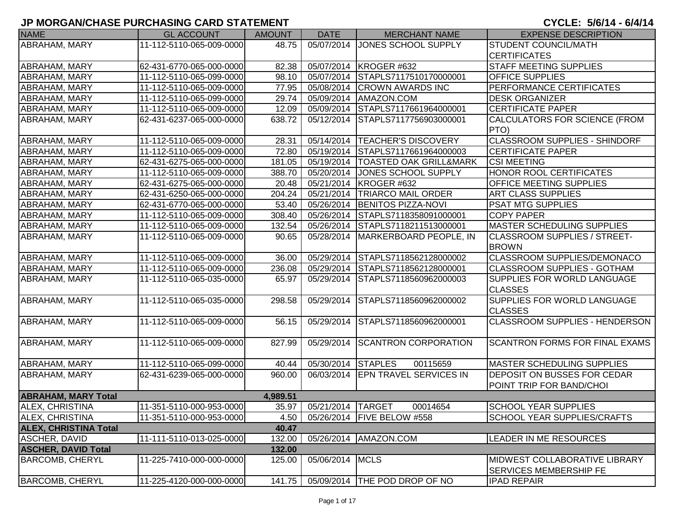| <b>NAME</b>                  | <b>GL ACCOUNT</b>        | <b>AMOUNT</b> | <b>DATE</b>       | <b>MERCHANT NAME</b>                | <b>EXPENSE DESCRIPTION</b>            |
|------------------------------|--------------------------|---------------|-------------------|-------------------------------------|---------------------------------------|
| ABRAHAM, MARY                | 11-112-5110-065-009-0000 | 48.75         | 05/07/2014        | JONES SCHOOL SUPPLY                 | <b>STUDENT COUNCIL/MATH</b>           |
|                              |                          |               |                   |                                     | <b>CERTIFICATES</b>                   |
| ABRAHAM, MARY                | 62-431-6770-065-000-0000 | 82.38         |                   | 05/07/2014   KROGER #632            | <b>STAFF MEETING SUPPLIES</b>         |
| <b>ABRAHAM, MARY</b>         | 11-112-5110-065-099-0000 | 98.10         |                   | 05/07/2014 STAPLS7117510170000001   | <b>OFFICE SUPPLIES</b>                |
| ABRAHAM, MARY                | 11-112-5110-065-009-0000 | 77.95         |                   | 05/08/2014 CROWN AWARDS INC         | PERFORMANCE CERTIFICATES              |
| ABRAHAM, MARY                | 11-112-5110-065-099-0000 | 29.74         | 05/09/2014        | AMAZON.COM                          | <b>DESK ORGANIZER</b>                 |
| <b>ABRAHAM, MARY</b>         | 11-112-5110-065-009-0000 | 12.09         | 05/09/2014        | STAPLS7117661964000001              | <b>CERTIFICATE PAPER</b>              |
| ABRAHAM, MARY                | 62-431-6237-065-000-0000 | 638.72        | 05/12/2014        | STAPLS7117756903000001              | CALCULATORS FOR SCIENCE (FROM         |
|                              |                          |               |                   |                                     | PTO)                                  |
| ABRAHAM, MARY                | 11-112-5110-065-009-0000 | 28.31         |                   | 05/14/2014   TEACHER'S DISCOVERY    | <b>CLASSROOM SUPPLIES - SHINDORF</b>  |
| ABRAHAM, MARY                | 11-112-5110-065-009-0000 | 72.80         | 05/19/2014        | STAPLS7117661964000003              | <b>CERTIFICATE PAPER</b>              |
| <b>ABRAHAM, MARY</b>         | 62-431-6275-065-000-0000 | 181.05        | 05/19/2014        | <b>TOASTED OAK GRILL&amp;MARK</b>   | <b>CSI MEETING</b>                    |
| ABRAHAM, MARY                | 11-112-5110-065-009-0000 | 388.70        | 05/20/2014        | JONES SCHOOL SUPPLY                 | <b>HONOR ROOL CERTIFICATES</b>        |
| ABRAHAM, MARY                | 62-431-6275-065-000-0000 | 20.48         |                   | 05/21/2014 KROGER #632              | <b>OFFICE MEETING SUPPLIES</b>        |
| <b>ABRAHAM, MARY</b>         | 62-431-6250-065-000-0000 | 204.24        |                   | 05/21/2014   TRIARCO MAIL ORDER     | <b>ART CLASS SUPPLIES</b>             |
| <b>ABRAHAM, MARY</b>         | 62-431-6770-065-000-0000 | 53.40         |                   | 05/26/2014 BENITOS PIZZA-NOVI       | <b>PSAT MTG SUPPLIES</b>              |
| ABRAHAM, MARY                | 11-112-5110-065-009-0000 | 308.40        |                   | 05/26/2014 STAPLS7118358091000001   | <b>COPY PAPER</b>                     |
| ABRAHAM, MARY                | 11-112-5110-065-009-0000 | 132.54        | 05/26/2014        | STAPLS7118211513000001              | <b>MASTER SCHEDULING SUPPLIES</b>     |
| <b>ABRAHAM, MARY</b>         | 11-112-5110-065-009-0000 | 90.65         |                   | 05/28/2014   MARKERBOARD PEOPLE, IN | <b>CLASSROOM SUPPLIES / STREET-</b>   |
|                              |                          |               |                   |                                     | <b>BROWN</b>                          |
| <b>ABRAHAM, MARY</b>         | 11-112-5110-065-009-0000 | 36.00         |                   | 05/29/2014 STAPLS7118562128000002   | CLASSROOM SUPPLIES/DEMONACO           |
| <b>ABRAHAM, MARY</b>         | 11-112-5110-065-009-0000 | 236.08        |                   | 05/29/2014 STAPLS7118562128000001   | <b>CLASSROOM SUPPLIES - GOTHAM</b>    |
| <b>ABRAHAM, MARY</b>         | 11-112-5110-065-035-0000 | 65.97         | 05/29/2014        | STAPLS7118560962000003              | <b>SUPPLIES FOR WORLD LANGUAGE</b>    |
|                              |                          |               |                   |                                     | <b>CLASSES</b>                        |
| <b>ABRAHAM, MARY</b>         | 11-112-5110-065-035-0000 | 298.58        | 05/29/2014        | STAPLS7118560962000002              | <b>SUPPLIES FOR WORLD LANGUAGE</b>    |
|                              |                          |               |                   |                                     | <b>CLASSES</b>                        |
| <b>ABRAHAM, MARY</b>         | 11-112-5110-065-009-0000 | 56.15         |                   | 05/29/2014 STAPLS7118560962000001   | <b>CLASSROOM SUPPLIES - HENDERSON</b> |
|                              |                          |               |                   |                                     |                                       |
| <b>ABRAHAM, MARY</b>         | 11-112-5110-065-009-0000 | 827.99        |                   | 05/29/2014 SCANTRON CORPORATION     | <b>SCANTRON FORMS FOR FINAL EXAMS</b> |
|                              |                          |               |                   |                                     |                                       |
| <b>ABRAHAM, MARY</b>         | 11-112-5110-065-099-0000 | 40.44         | 05/30/2014        | <b>STAPLES</b><br>00115659          | <b>MASTER SCHEDULING SUPPLIES</b>     |
| <b>ABRAHAM, MARY</b>         | 62-431-6239-065-000-0000 | 960.00        | 06/03/2014        | <b>EPN TRAVEL SERVICES IN</b>       | <b>DEPOSIT ON BUSSES FOR CEDAR</b>    |
|                              |                          |               |                   |                                     | POINT TRIP FOR BAND/CHOI              |
| <b>ABRAHAM, MARY Total</b>   |                          | 4,989.51      |                   |                                     |                                       |
| <b>ALEX, CHRISTINA</b>       | 11-351-5110-000-953-0000 | 35.97         | 05/21/2014 TARGET | 00014654                            | <b>SCHOOL YEAR SUPPLIES</b>           |
| <b>ALEX, CHRISTINA</b>       | 11-351-5110-000-953-0000 | 4.50          |                   | 05/26/2014   FIVE BELOW #558        | <b>SCHOOL YEAR SUPPLIES/CRAFTS</b>    |
| <b>ALEX, CHRISTINA Total</b> |                          | 40.47         |                   |                                     |                                       |
| <b>ASCHER, DAVID</b>         | 11-111-5110-013-025-0000 | 132.00        |                   | 05/26/2014   AMAZON.COM             | <b>LEADER IN ME RESOURCES</b>         |
| <b>ASCHER, DAVID Total</b>   |                          | 132.00        |                   |                                     |                                       |
| <b>BARCOMB, CHERYL</b>       | 11-225-7410-000-000-0000 | 125.00        | 05/06/2014 MCLS   |                                     | <b>MIDWEST COLLABORATIVE LIBRARY</b>  |
|                              |                          |               |                   |                                     | <b>SERVICES MEMBERSHIP FE</b>         |
| <b>BARCOMB, CHERYL</b>       | 11-225-4120-000-000-0000 | 141.75        |                   | 05/09/2014 THE POD DROP OF NO       | <b>IPAD REPAIR</b>                    |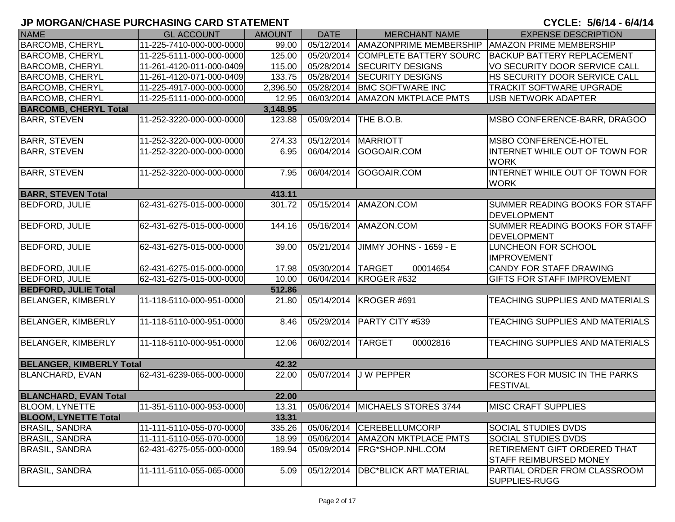| <b>NAME</b>                     | <b>GL ACCOUNT</b>        | <b>AMOUNT</b> | <b>DATE</b>       | <b>MERCHANT NAME</b>            | <b>EXPENSE DESCRIPTION</b>                                    |
|---------------------------------|--------------------------|---------------|-------------------|---------------------------------|---------------------------------------------------------------|
| <b>BARCOMB, CHERYL</b>          | 11-225-7410-000-000-0000 | 99.00         | 05/12/2014        | <b>AMAZONPRIME MEMBERSHIP</b>   | <b>AMAZON PRIME MEMBERSHIP</b>                                |
| <b>BARCOMB, CHERYL</b>          | 11-225-5111-000-000-0000 | 125.00        | 05/20/2014        | COMPLETE BATTERY SOURC          | <b>BACKUP BATTERY REPLACEMENT</b>                             |
| <b>BARCOMB, CHERYL</b>          | 11-261-4120-011-000-0409 | 115.00        | 05/28/2014        | <b>SECURITY DESIGNS</b>         | VO SECURITY DOOR SERVICE CALL                                 |
| <b>BARCOMB, CHERYL</b>          | 11-261-4120-071-000-0409 | 133.75        | 05/28/2014        | <b>SECURITY DESIGNS</b>         | HS SECURITY DOOR SERVICE CALL                                 |
| <b>BARCOMB, CHERYL</b>          | 11-225-4917-000-000-0000 | 2,396.50      | 05/28/2014        | <b>BMC SOFTWARE INC</b>         | <b>TRACKIT SOFTWARE UPGRADE</b>                               |
| <b>BARCOMB, CHERYL</b>          | 11-225-5111-000-000-0000 | 12.95         | 06/03/2014        | <b>AMAZON MKTPLACE PMTS</b>     | <b>USB NETWORK ADAPTER</b>                                    |
| <b>BARCOMB, CHERYL Total</b>    |                          | 3,148.95      |                   |                                 |                                                               |
| <b>BARR, STEVEN</b>             | 11-252-3220-000-000-0000 | 123.88        | 05/09/2014        | THE B.O.B.                      | MSBO CONFERENCE-BARR, DRAGOO                                  |
| <b>BARR, STEVEN</b>             | 11-252-3220-000-000-0000 | 274.33        | 05/12/2014        | <b>MARRIOTT</b>                 | <b>MSBO CONFERENCE-HOTEL</b>                                  |
| <b>BARR, STEVEN</b>             | 11-252-3220-000-000-0000 | 6.95          | 06/04/2014        | GOGOAIR.COM                     | INTERNET WHILE OUT OF TOWN FOR<br><b>WORK</b>                 |
| <b>BARR, STEVEN</b>             | 11-252-3220-000-000-0000 | 7.95          |                   | 06/04/2014 GOGOAIR.COM          | INTERNET WHILE OUT OF TOWN FOR<br><b>WORK</b>                 |
| <b>BARR, STEVEN Total</b>       |                          | 413.11        |                   |                                 |                                                               |
| <b>BEDFORD, JULIE</b>           | 62-431-6275-015-000-0000 | 301.72        | 05/15/2014        | AMAZON.COM                      | SUMMER READING BOOKS FOR STAFF<br><b>DEVELOPMENT</b>          |
| <b>BEDFORD, JULIE</b>           | 62-431-6275-015-000-0000 | 144.16        | 05/16/2014        | AMAZON.COM                      | SUMMER READING BOOKS FOR STAFF<br><b>DEVELOPMENT</b>          |
| <b>BEDFORD, JULIE</b>           | 62-431-6275-015-000-0000 | 39.00         | 05/21/2014        | JIMMY JOHNS - 1659 - E          | LUNCHEON FOR SCHOOL<br><b>IMPROVEMENT</b>                     |
| <b>BEDFORD, JULIE</b>           | 62-431-6275-015-000-0000 | 17.98         | 05/30/2014 TARGET | 00014654                        | <b>CANDY FOR STAFF DRAWING</b>                                |
| <b>BEDFORD, JULIE</b>           | 62-431-6275-015-000-0000 | 10.00         |                   | 06/04/2014   KROGER #632        | <b>GIFTS FOR STAFF IMPROVEMENT</b>                            |
| <b>BEDFORD, JULIE Total</b>     |                          | 512.86        |                   |                                 |                                                               |
| <b>BELANGER, KIMBERLY</b>       | 11-118-5110-000-951-0000 | 21.80         |                   | 05/14/2014 KROGER #691          | TEACHING SUPPLIES AND MATERIALS                               |
| <b>BELANGER, KIMBERLY</b>       | 11-118-5110-000-951-0000 | 8.46          | 05/29/2014        | <b>PARTY CITY #539</b>          | TEACHING SUPPLIES AND MATERIALS                               |
| BELANGER, KIMBERLY              | 11-118-5110-000-951-0000 | 12.06         | 06/02/2014        | <b>TARGET</b><br>00002816       | TEACHING SUPPLIES AND MATERIALS                               |
| <b>BELANGER, KIMBERLY Total</b> |                          | 42.32         |                   |                                 |                                                               |
| <b>BLANCHARD, EVAN</b>          | 62-431-6239-065-000-0000 | 22.00         | 05/07/2014        | <b>JW PEPPER</b>                | <b>SCORES FOR MUSIC IN THE PARKS</b><br><b>FESTIVAL</b>       |
| <b>BLANCHARD, EVAN Total</b>    |                          | 22.00         |                   |                                 |                                                               |
| <b>BLOOM, LYNETTE</b>           | 11-351-5110-000-953-0000 | 13.31         |                   | 05/06/2014 MICHAELS STORES 3744 | <b>MISC CRAFT SUPPLIES</b>                                    |
| <b>BLOOM, LYNETTE Total</b>     |                          | 13.31         |                   |                                 |                                                               |
| <b>BRASIL, SANDRA</b>           | 11-111-5110-055-070-0000 | 335.26        | 05/06/2014        | <b>CEREBELLUMCORP</b>           | <b>SOCIAL STUDIES DVDS</b>                                    |
| <b>BRASIL, SANDRA</b>           | 11-111-5110-055-070-0000 | 18.99         | 05/06/2014        | <b>AMAZON MKTPLACE PMTS</b>     | <b>SOCIAL STUDIES DVDS</b>                                    |
| <b>BRASIL, SANDRA</b>           | 62-431-6275-055-000-0000 | 189.94        | 05/09/2014        | FRG*SHOP.NHL.COM                | RETIREMENT GIFT ORDERED THAT<br><b>STAFF REIMBURSED MONEY</b> |
| <b>BRASIL, SANDRA</b>           | 11-111-5110-055-065-0000 | 5.09          | 05/12/2014        | <b>DBC*BLICK ART MATERIAL</b>   | PARTIAL ORDER FROM CLASSROOM<br>SUPPLIES-RUGG                 |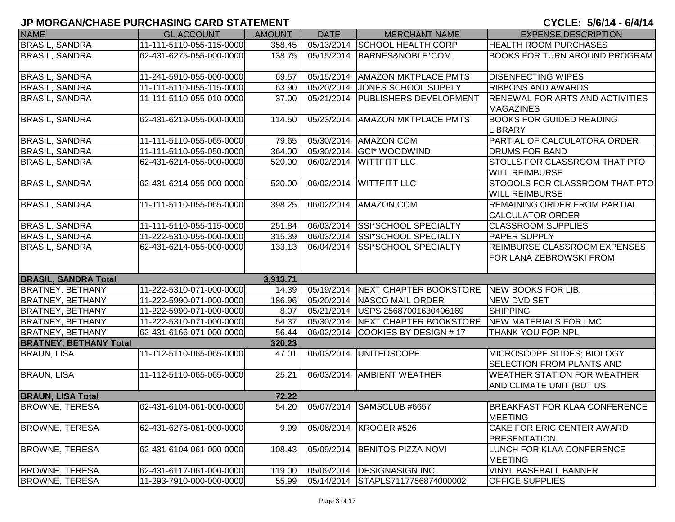| <b>NAME</b>                   | <b>GL ACCOUNT</b>        | <b>AMOUNT</b> | <b>DATE</b> | <b>MERCHANT NAME</b>                                    | <b>EXPENSE DESCRIPTION</b>                                     |
|-------------------------------|--------------------------|---------------|-------------|---------------------------------------------------------|----------------------------------------------------------------|
| <b>BRASIL, SANDRA</b>         | 11-111-5110-055-115-0000 | 358.45        |             | 05/13/2014 SCHOOL HEALTH CORP                           | <b>HEALTH ROOM PURCHASES</b>                                   |
| <b>BRASIL, SANDRA</b>         | 62-431-6275-055-000-0000 | 138.75        |             | 05/15/2014 BARNES&NOBLE*COM                             | <b>BOOKS FOR TURN AROUND PROGRAM</b>                           |
| <b>BRASIL, SANDRA</b>         | 11-241-5910-055-000-0000 | 69.57         |             | 05/15/2014   AMAZON MKTPLACE PMTS                       | <b>DISENFECTING WIPES</b>                                      |
| <b>BRASIL, SANDRA</b>         | 11-111-5110-055-115-0000 | 63.90         | 05/20/2014  | JONES SCHOOL SUPPLY                                     | <b>RIBBONS AND AWARDS</b>                                      |
| <b>BRASIL, SANDRA</b>         | 11-111-5110-055-010-0000 | 37.00         |             | 05/21/2014   PUBLISHERS DEVELOPMENT                     | <b>RENEWAL FOR ARTS AND ACTIVITIES</b><br><b>MAGAZINES</b>     |
| <b>BRASIL, SANDRA</b>         | 62-431-6219-055-000-0000 | 114.50        | 05/23/2014  | <b>AMAZON MKTPLACE PMTS</b>                             | <b>BOOKS FOR GUIDED READING</b><br><b>LIBRARY</b>              |
| <b>BRASIL, SANDRA</b>         | 11-111-5110-055-065-0000 | 79.65         |             | 05/30/2014 AMAZON.COM                                   | PARTIAL OF CALCULATORA ORDER                                   |
| <b>BRASIL, SANDRA</b>         | 11-111-5110-055-050-0000 | 364.00        |             | 05/30/2014 GCI* WOODWIND                                | <b>DRUMS FOR BAND</b>                                          |
| <b>BRASIL, SANDRA</b>         | 62-431-6214-055-000-0000 | 520.00        | 06/02/2014  | <b>WITTFITT LLC</b>                                     | <b>STOLLS FOR CLASSROOM THAT PTO</b><br><b>WILL REIMBURSE</b>  |
| <b>BRASIL, SANDRA</b>         | 62-431-6214-055-000-0000 | 520.00        |             | 06/02/2014 WITTFITT LLC                                 | STOOOLS FOR CLASSROOM THAT PTO<br><b>WILL REIMBURSE</b>        |
| <b>BRASIL, SANDRA</b>         | 11-111-5110-055-065-0000 | 398.25        |             | 06/02/2014 AMAZON.COM                                   | <b>REMAINING ORDER FROM PARTIAL</b><br><b>CALCULATOR ORDER</b> |
| <b>BRASIL, SANDRA</b>         | 11-111-5110-055-115-0000 | 251.84        |             | 06/03/2014 SSI*SCHOOL SPECIALTY                         | <b>CLASSROOM SUPPLIES</b>                                      |
| <b>BRASIL, SANDRA</b>         | 11-222-5310-055-000-0000 | 315.39        |             | 06/03/2014 SSI*SCHOOL SPECIALTY                         | <b>PAPER SUPPLY</b>                                            |
| <b>BRASIL, SANDRA</b>         | 62-431-6214-055-000-0000 | 133.13        |             | 06/04/2014 SSI*SCHOOL SPECIALTY                         | <b>REIMBURSE CLASSROOM EXPENSES</b><br>FOR LANA ZEBROWSKI FROM |
| <b>BRASIL, SANDRA Total</b>   |                          | 3,913.71      |             |                                                         |                                                                |
| <b>BRATNEY, BETHANY</b>       | 11-222-5310-071-000-0000 | 14.39         |             | 05/19/2014 NEXT CHAPTER BOOKSTORE NEW BOOKS FOR LIB.    |                                                                |
| <b>BRATNEY, BETHANY</b>       | 11-222-5990-071-000-0000 | 186.96        |             | 05/20/2014 NASCO MAIL ORDER                             | <b>NEW DVD SET</b>                                             |
| <b>BRATNEY, BETHANY</b>       | 11-222-5990-071-000-0000 | 8.07          | 05/21/2014  | USPS 25687001630406169                                  | <b>SHIPPING</b>                                                |
| <b>BRATNEY, BETHANY</b>       | 11-222-5310-071-000-0000 | 54.37         |             | 05/30/2014 NEXT CHAPTER BOOKSTORE NEW MATERIALS FOR LMC |                                                                |
| <b>BRATNEY, BETHANY</b>       | 62-431-6166-071-000-0000 | 56.44         | 06/02/2014  | COOKIES BY DESIGN #17                                   | <b>THANK YOU FOR NPL</b>                                       |
| <b>BRATNEY, BETHANY Total</b> |                          | 320.23        |             |                                                         |                                                                |
| <b>BRAUN, LISA</b>            | 11-112-5110-065-065-0000 | 47.01         |             | 06/03/2014 UNITEDSCOPE                                  | MICROSCOPE SLIDES; BIOLOGY<br><b>SELECTION FROM PLANTS AND</b> |
| <b>BRAUN, LISA</b>            | 11-112-5110-065-065-0000 | 25.21         |             | 06/03/2014   AMBIENT WEATHER                            | <b>WEATHER STATION FOR WEATHER</b><br>AND CLIMATE UNIT (BUT US |
| <b>BRAUN, LISA Total</b>      |                          | 72.22         |             |                                                         |                                                                |
| <b>BROWNE, TERESA</b>         | 62-431-6104-061-000-0000 | 54.20         |             | 05/07/2014 SAMSCLUB #6657                               | <b>BREAKFAST FOR KLAA CONFERENCE</b><br><b>MEETING</b>         |
| <b>BROWNE, TERESA</b>         | 62-431-6275-061-000-0000 | 9.99          |             | 05/08/2014 KROGER #526                                  | CAKE FOR ERIC CENTER AWARD<br><b>PRESENTATION</b>              |
| <b>BROWNE, TERESA</b>         | 62-431-6104-061-000-0000 | 108.43        | 05/09/2014  | <b>BENITOS PIZZA-NOVI</b>                               | LUNCH FOR KLAA CONFERENCE<br><b>MEETING</b>                    |
| <b>BROWNE, TERESA</b>         | 62-431-6117-061-000-0000 | 119.00        |             | 05/09/2014   DESIGNASIGN INC.                           | <b>VINYL BASEBALL BANNER</b>                                   |
| <b>BROWNE, TERESA</b>         | 11-293-7910-000-000-0000 | 55.99         |             | 05/14/2014 STAPLS7117756874000002                       | <b>OFFICE SUPPLIES</b>                                         |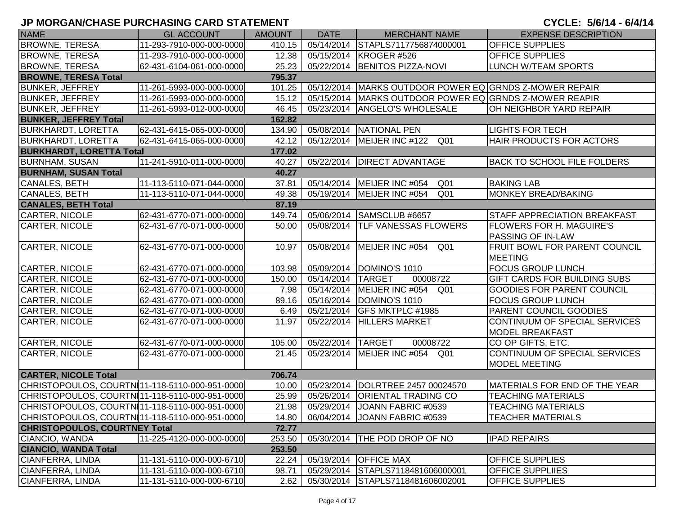| <b>NAME</b>                                    | <b>GL ACCOUNT</b>        | <b>AMOUNT</b> | <b>DATE</b> | <b>MERCHANT NAME</b>                            | <b>EXPENSE DESCRIPTION</b>           |
|------------------------------------------------|--------------------------|---------------|-------------|-------------------------------------------------|--------------------------------------|
| <b>BROWNE, TERESA</b>                          | 11-293-7910-000-000-0000 | 410.15        |             | 05/14/2014 STAPLS7117756874000001               | <b>OFFICE SUPPLIES</b>               |
| <b>BROWNE, TERESA</b>                          | 11-293-7910-000-000-0000 | 12.38         |             | 05/15/2014 KROGER #526                          | <b>OFFICE SUPPLIES</b>               |
| <b>BROWNE, TERESA</b>                          | 62-431-6104-061-000-0000 | 25.23         |             | 05/22/2014 BENITOS PIZZA-NOVI                   | <b>LUNCH W/TEAM SPORTS</b>           |
| <b>BROWNE, TERESA Total</b>                    |                          | 795.37        |             |                                                 |                                      |
| <b>BUNKER, JEFFREY</b>                         | 11-261-5993-000-000-0000 | 101.25        | 05/12/2014  | MARKS OUTDOOR POWER EQ GRNDS Z-MOWER REPAIR     |                                      |
| <b>BUNKER, JEFFREY</b>                         | 11-261-5993-000-000-0000 | 15.12         | 05/15/2014  | MARKS OUTDOOR POWER EQ GRNDS Z-MOWER REAPIR     |                                      |
| <b>BUNKER, JEFFREY</b>                         | 11-261-5993-012-000-0000 | 46.45         | 05/23/2014  | <b>ANGELO'S WHOLESALE</b>                       | OH NEIGHBOR YARD REPAIR              |
| <b>BUNKER, JEFFREY Total</b>                   |                          | 162.82        |             |                                                 |                                      |
| <b>BURKHARDT, LORETTA</b>                      | 62-431-6415-065-000-0000 | 134.90        | 05/08/2014  | NATIONAL PEN                                    | <b>LIGHTS FOR TECH</b>               |
| <b>BURKHARDT, LORETTA</b>                      | 62-431-6415-065-000-0000 | 42.12         |             | 05/12/2014   MEIJER INC #122<br>Q <sub>01</sub> | HAIR PRODUCTS FOR ACTORS             |
| <b>BURKHARDT, LORETTA Total</b>                |                          | 177.02        |             |                                                 |                                      |
| <b>BURNHAM, SUSAN</b>                          | 11-241-5910-011-000-0000 | 40.27         |             | 05/22/2014 DIRECT ADVANTAGE                     | <b>BACK TO SCHOOL FILE FOLDERS</b>   |
| <b>BURNHAM, SUSAN Total</b>                    |                          | 40.27         |             |                                                 |                                      |
| CANALES, BETH                                  | 11-113-5110-071-044-0000 | 37.81         |             | 05/14/2014   MEIJER INC #054<br>Q <sub>01</sub> | <b>BAKING LAB</b>                    |
| CANALES, BETH                                  | 11-113-5110-071-044-0000 | 49.38         |             | 05/19/2014 MEIJER INC #054<br>Q <sub>01</sub>   | MONKEY BREAD/BAKING                  |
| <b>CANALES, BETH Total</b>                     |                          | 87.19         |             |                                                 |                                      |
| CARTER, NICOLE                                 | 62-431-6770-071-000-0000 | 149.74        |             | 05/06/2014 SAMSCLUB #6657                       | <b>STAFF APPRECIATION BREAKFAST</b>  |
| CARTER, NICOLE                                 | 62-431-6770-071-000-0000 | 50.00         |             | 05/08/2014 TLF VANESSAS FLOWERS                 | <b>FLOWERS FOR H. MAGUIRE'S</b>      |
|                                                |                          |               |             |                                                 | PASSING OF IN-LAW                    |
| CARTER, NICOLE                                 | 62-431-6770-071-000-0000 | 10.97         | 05/08/2014  | MEIJER INC #054 Q01                             | <b>FRUIT BOWL FOR PARENT COUNCIL</b> |
|                                                |                          |               |             |                                                 | <b>MEETING</b>                       |
| CARTER, NICOLE                                 | 62-431-6770-071-000-0000 | 103.98        |             | 05/09/2014 DOMINO'S 1010                        | <b>FOCUS GROUP LUNCH</b>             |
| <b>CARTER, NICOLE</b>                          | 62-431-6770-071-000-0000 | 150.00        | 05/14/2014  | <b>TARGET</b><br>00008722                       | <b>GIFT CARDS FOR BUILDING SUBS</b>  |
| CARTER, NICOLE                                 | 62-431-6770-071-000-0000 | 7.98          |             | 05/14/2014   MEIJER INC #054<br>Q01             | <b>GOODIES FOR PARENT COUNCIL</b>    |
| CARTER, NICOLE                                 | 62-431-6770-071-000-0000 | 89.16         |             | 05/16/2014 DOMINO'S 1010                        | <b>FOCUS GROUP LUNCH</b>             |
| CARTER, NICOLE                                 | 62-431-6770-071-000-0000 | 6.49          |             | 05/21/2014 GFS MKTPLC #1985                     | <b>PARENT COUNCIL GOODIES</b>        |
| CARTER, NICOLE                                 | 62-431-6770-071-000-0000 | 11.97         | 05/22/2014  | <b>HILLERS MARKET</b>                           | CONTINUUM OF SPECIAL SERVICES        |
|                                                |                          |               |             |                                                 | <b>MODEL BREAKFAST</b>               |
| CARTER, NICOLE                                 | 62-431-6770-071-000-0000 | 105.00        | 05/22/2014  | <b>TARGET</b><br>00008722                       | CO OP GIFTS, ETC.                    |
| <b>CARTER, NICOLE</b>                          | 62-431-6770-071-000-0000 | 21.45         | 05/23/2014  | MEIJER INC #054 Q01                             | CONTINUUM OF SPECIAL SERVICES        |
|                                                |                          |               |             |                                                 | <b>MODEL MEETING</b>                 |
| <b>CARTER, NICOLE Total</b>                    |                          | 706.74        |             |                                                 |                                      |
| CHRISTOPOULOS, COURTN11-118-5110-000-951-0000  |                          | 10.00         | 05/23/2014  | DOLRTREE 2457 00024570                          | MATERIALS FOR END OF THE YEAR        |
| CHRISTOPOULOS, COURTN11-118-5110-000-951-0000  |                          | 25.99         | 05/26/2014  | <b>ORIENTAL TRADING CO</b>                      | <b>TEACHING MATERIALS</b>            |
| CHRISTOPOULOS, COURTN 11-118-5110-000-951-0000 |                          |               |             | 21.98   05/29/2014   JOANN FABRIC #0539         | <b>TEACHING MATERIALS</b>            |
| CHRISTOPOULOS, COURTN 11-118-5110-000-951-0000 |                          | 14.80         |             | 06/04/2014 JOANN FABRIC #0539                   | <b>TEACHER MATERIALS</b>             |
| <b>CHRISTOPOULOS, COURTNEY Total</b>           |                          | 72.77         |             |                                                 |                                      |
| CIANCIO, WANDA                                 | 11-225-4120-000-000-0000 | 253.50        |             | 05/30/2014   THE POD DROP OF NO                 | <b>IPAD REPAIRS</b>                  |
| <b>CIANCIO, WANDA Total</b>                    |                          | 253.50        |             |                                                 |                                      |
| CIANFERRA, LINDA                               | 11-131-5110-000-000-6710 | 22.24         | 05/19/2014  | <b>OFFICE MAX</b>                               | <b>OFFICE SUPPLIES</b>               |
| <b>CIANFERRA, LINDA</b>                        | 11-131-5110-000-000-6710 | 98.71         | 05/29/2014  | STAPLS7118481606000001                          | <b>OFFICE SUPPLIIES</b>              |
| CIANFERRA, LINDA                               | 11-131-5110-000-000-6710 | 2.62          |             | 05/30/2014 STAPLS7118481606002001               | <b>OFFICE SUPPLIES</b>               |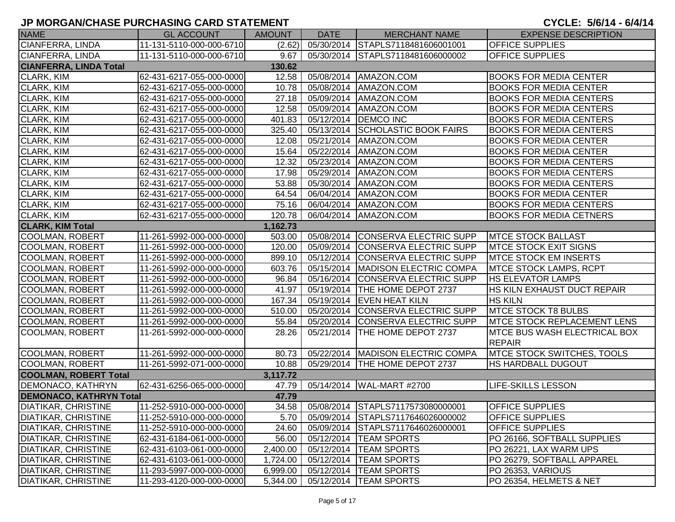| <b>NAME</b>                    | <b>GL ACCOUNT</b>        | <b>AMOUNT</b> | <b>DATE</b> | <b>MERCHANT NAME</b>                | <b>EXPENSE DESCRIPTION</b>                           |
|--------------------------------|--------------------------|---------------|-------------|-------------------------------------|------------------------------------------------------|
| <b>CIANFERRA, LINDA</b>        | 11-131-5110-000-000-6710 | (2.62)        |             | 05/30/2014 STAPLS7118481606001001   | <b>OFFICE SUPPLIES</b>                               |
| CIANFERRA, LINDA               | 11-131-5110-000-000-6710 | 9.67          |             | 05/30/2014 STAPLS7118481606000002   | <b>OFFICE SUPPLIES</b>                               |
| <b>CIANFERRA, LINDA Total</b>  |                          | 130.62        |             |                                     |                                                      |
| <b>CLARK, KIM</b>              | 62-431-6217-055-000-0000 | 12.58         | 05/08/2014  | AMAZON.COM                          | <b>BOOKS FOR MEDIA CENTER</b>                        |
| CLARK, KIM                     | 62-431-6217-055-000-0000 | 10.78         |             | 05/08/2014   AMAZON.COM             | <b>BOOKS FOR MEDIA CENTER</b>                        |
| <b>CLARK, KIM</b>              | 62-431-6217-055-000-0000 | 27.18         |             | 05/09/2014   AMAZON.COM             | <b>BOOKS FOR MEDIA CENTERS</b>                       |
| CLARK, KIM                     | 62-431-6217-055-000-0000 | 12.58         |             | 05/09/2014   AMAZON.COM             | <b>BOOKS FOR MEDIA CENTERS</b>                       |
| <b>CLARK, KIM</b>              | 62-431-6217-055-000-0000 | 401.83        |             | 05/12/2014   DEMCO INC              | <b>BOOKS FOR MEDIA CENTERS</b>                       |
| <b>CLARK, KIM</b>              | 62-431-6217-055-000-0000 | 325.40        | 05/13/2014  | <b>SCHOLASTIC BOOK FAIRS</b>        | <b>BOOKS FOR MEDIA CENTERS</b>                       |
| <b>CLARK, KIM</b>              | 62-431-6217-055-000-0000 | 12.08         | 05/21/2014  | AMAZON.COM                          | <b>BOOKS FOR MEDIA CENTER</b>                        |
| <b>CLARK, KIM</b>              | 62-431-6217-055-000-0000 | 15.64         | 05/22/2014  | AMAZON.COM                          | <b>BOOKS FOR MEDIA CENTER</b>                        |
| CLARK, KIM                     | 62-431-6217-055-000-0000 | 12.32         | 05/23/2014  | AMAZON.COM                          | <b>BOOKS FOR MEDIA CENTERS</b>                       |
| CLARK, KIM                     | 62-431-6217-055-000-0000 | 17.98         | 05/29/2014  | AMAZON.COM                          | <b>BOOKS FOR MEDIA CENTERS</b>                       |
| <b>CLARK, KIM</b>              | 62-431-6217-055-000-0000 | 53.88         | 05/30/2014  | AMAZON.COM                          | <b>BOOKS FOR MEDIA CENTERS</b>                       |
| <b>CLARK, KIM</b>              | 62-431-6217-055-000-0000 | 64.54         | 06/04/2014  | AMAZON.COM                          | <b>BOOKS FOR MEDIA CENTER</b>                        |
| <b>CLARK, KIM</b>              | 62-431-6217-055-000-0000 | 75.16         | 06/04/2014  | AMAZON.COM                          | <b>BOOKS FOR MEDIA CENTERS</b>                       |
| <b>CLARK, KIM</b>              | 62-431-6217-055-000-0000 | 120.78        | 06/04/2014  | AMAZON.COM                          | <b>BOOKS FOR MEDIA CETNERS</b>                       |
| <b>CLARK, KIM Total</b>        |                          | 1,162.73      |             |                                     |                                                      |
| <b>COOLMAN, ROBERT</b>         | 11-261-5992-000-000-0000 | 503.00        |             | 05/08/2014 CONSERVA ELECTRIC SUPP   | <b>MTCE STOCK BALLAST</b>                            |
| <b>COOLMAN, ROBERT</b>         | 11-261-5992-000-000-0000 | 120.00        | 05/09/2014  | CONSERVA ELECTRIC SUPP              | <b>IMTCE STOCK EXIT SIGNS</b>                        |
| <b>COOLMAN, ROBERT</b>         | 11-261-5992-000-000-0000 | 899.10        | 05/12/2014  | CONSERVA ELECTRIC SUPP              | <b>MTCE STOCK EM INSERTS</b>                         |
| <b>COOLMAN, ROBERT</b>         | 11-261-5992-000-000-0000 | 603.76        | 05/15/2014  | <b>MADISON ELECTRIC COMPA</b>       | <b>MTCE STOCK LAMPS, RCPT</b>                        |
| <b>COOLMAN, ROBERT</b>         | 11-261-5992-000-000-0000 | 96.84         | 05/16/2014  | <b>CONSERVA ELECTRIC SUPP</b>       | <b>HS ELEVATOR LAMPS</b>                             |
| <b>COOLMAN, ROBERT</b>         | 11-261-5992-000-000-0000 | 41.97         |             | 05/19/2014   THE HOME DEPOT 2737    | HS KILN EXHAUST DUCT REPAIR                          |
| <b>COOLMAN, ROBERT</b>         | 11-261-5992-000-000-0000 | 167.34        | 05/19/2014  | <b>EVEN HEAT KILN</b>               | <b>HS KILN</b>                                       |
| <b>COOLMAN, ROBERT</b>         | 11-261-5992-000-000-0000 | 510.00        | 05/20/2014  | CONSERVA ELECTRIC SUPP              | <b>MTCE STOCK T8 BULBS</b>                           |
| <b>COOLMAN, ROBERT</b>         | 11-261-5992-000-000-0000 | 55.84         | 05/20/2014  | <b>CONSERVA ELECTRIC SUPP</b>       | <b>IMTCE STOCK REPLACEMENT LENS</b>                  |
| <b>COOLMAN, ROBERT</b>         | 11-261-5992-000-000-0000 | 28.26         | 05/21/2014  | THE HOME DEPOT 2737                 | <b>MTCE BUS WASH ELECTRICAL BOX</b><br><b>REPAIR</b> |
| <b>COOLMAN, ROBERT</b>         | 11-261-5992-000-000-0000 | 80.73         |             | 05/22/2014   MADISON ELECTRIC COMPA | <b>MTCE STOCK SWITCHES, TOOLS</b>                    |
| COOLMAN, ROBERT                | 11-261-5992-071-000-0000 | 10.88         |             | 05/29/2014 THE HOME DEPOT 2737      | <b>HS HARDBALL DUGOUT</b>                            |
| <b>COOLMAN, ROBERT Total</b>   |                          | 3,117.72      |             |                                     |                                                      |
| <b>DEMONACO, KATHRYN</b>       | 62-431-6256-065-000-0000 | 47.79         |             | 05/14/2014 WAL-MART #2700           | <b>LIFE-SKILLS LESSON</b>                            |
| <b>DEMONACO, KATHRYN Total</b> |                          | 47.79         |             |                                     |                                                      |
| <b>DIATIKAR, CHRISTINE</b>     | 11-252-5910-000-000-0000 | 34.58         |             | 05/08/2014 STAPLS7117573080000001   | <b>OFFICE SUPPLIES</b>                               |
| DIATIKAR, CHRISTINE            | 11-252-5910-000-000-0000 | 5.70          |             | 05/09/2014 STAPLS7117646026000002   | <b>OFFICE SUPPLIES</b>                               |
| <b>DIATIKAR, CHRISTINE</b>     | 11-252-5910-000-000-0000 | 24.60         |             | 05/09/2014 STAPLS7117646026000001   | <b>OFFICE SUPPLIES</b>                               |
| <b>DIATIKAR, CHRISTINE</b>     | 62-431-6184-061-000-0000 | 56.00         |             | 05/12/2014  TEAM SPORTS             | PO 26166, SOFTBALL SUPPLIES                          |
| <b>DIATIKAR, CHRISTINE</b>     | 62-431-6103-061-000-0000 | 2,400.00      |             | 05/12/2014   TEAM SPORTS            | PO 26221, LAX WARM UPS                               |
| <b>DIATIKAR, CHRISTINE</b>     | 62-431-6103-061-000-0000 | 1,724.00      | 05/12/2014  | <b>TEAM SPORTS</b>                  | PO 26279, SOFTBALL APPAREL                           |
| DIATIKAR, CHRISTINE            | 11-293-5997-000-000-0000 | 6,999.00      |             | 05/12/2014   TEAM SPORTS            | PO 26353, VARIOUS                                    |
| <b>DIATIKAR, CHRISTINE</b>     | 11-293-4120-000-000-0000 | 5,344.00      |             | 05/12/2014  TEAM SPORTS             | PO 26354, HELMETS & NET                              |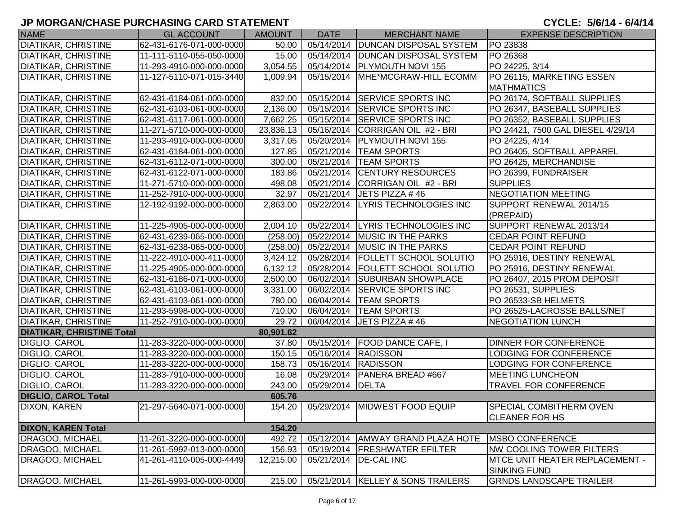# **JP MORGAN/CHASE PURCHASING CARD STATEMENT**

CYCLE: 5/6/14 - 6/4/14

| <b>NAME</b>                      | <b>GL ACCOUNT</b>        | <b>AMOUNT</b>         | <b>DATE</b>      | <b>MERCHANT NAME</b>                | <b>EXPENSE DESCRIPTION</b>        |
|----------------------------------|--------------------------|-----------------------|------------------|-------------------------------------|-----------------------------------|
| <b>DIATIKAR, CHRISTINE</b>       | 62-431-6176-071-000-0000 | 50.00                 |                  | 05/14/2014   DUNCAN DISPOSAL SYSTEM | PO 23838                          |
| <b>DIATIKAR, CHRISTINE</b>       | 11-111-5110-055-050-0000 | 15.00                 |                  | 05/14/2014   DUNCAN DISPOSAL SYSTEM | PO 26368                          |
| <b>DIATIKAR, CHRISTINE</b>       | 11-293-4910-000-000-0000 | 3,054.55              |                  | 05/14/2014   PLYMOUTH NOVI 155      | PO 24225, 3/14                    |
| <b>DIATIKAR, CHRISTINE</b>       | 11-127-5110-071-015-3440 | 1,009.94              |                  | 05/15/2014   MHE*MCGRAW-HILL ECOMM  | PO 26115, MARKETING ESSEN         |
|                                  |                          |                       |                  |                                     | <b>MATHMATICS</b>                 |
| <b>DIATIKAR, CHRISTINE</b>       | 62-431-6184-061-000-0000 | 832.00                |                  | 05/15/2014 SERVICE SPORTS INC       | PO 26174, SOFTBALL SUPPLIES       |
| <b>DIATIKAR, CHRISTINE</b>       | 62-431-6103-061-000-0000 | 2,136.00              |                  | 05/15/2014 SERVICE SPORTS INC       | PO 26347, BASEBALL SUPPLIES       |
| <b>DIATIKAR, CHRISTINE</b>       | 62-431-6117-061-000-0000 | 7,662.25              |                  | 05/15/2014 SERVICE SPORTS INC       | PO 26352, BASEBALL SUPPLIES       |
| <b>DIATIKAR, CHRISTINE</b>       | 11-271-5710-000-000-0000 | 23,836.13             |                  | 05/16/2014 CORRIGAN OIL #2 - BRI    | PO 24421, 7500 GAL DIESEL 4/29/14 |
| <b>DIATIKAR, CHRISTINE</b>       | 11-293-4910-000-000-0000 | 3,317.05              |                  | 05/20/2014   PLYMOUTH NOVI 155      | PO 24225, 4/14                    |
| <b>DIATIKAR, CHRISTINE</b>       | 62-431-6184-061-000-0000 | 127.85                |                  | 05/21/2014   TEAM SPORTS            | PO 26405, SOFTBALL APPAREL        |
| DIATIKAR, CHRISTINE              | 62-431-6112-071-000-0000 | 300.00                |                  | 05/21/2014   TEAM SPORTS            | PO 26425, MERCHANDISE             |
| <b>DIATIKAR, CHRISTINE</b>       | 62-431-6122-071-000-0000 | 183.86                |                  | 05/21/2014 CENTURY RESOURCES        | PO 26399, FUNDRAISER              |
| <b>DIATIKAR, CHRISTINE</b>       | 11-271-5710-000-000-0000 | 498.08                |                  | 05/21/2014 CORRIGAN OIL #2 - BRI    | <b>SUPPLIES</b>                   |
| <b>DIATIKAR, CHRISTINE</b>       | 11-252-7910-000-000-0000 | 32.97                 |                  | 05/21/2014 JETS PIZZA #46           | NEGOTIATION MEETING               |
| <b>DIATIKAR, CHRISTINE</b>       | 12-192-9192-000-000-0000 | 2,863.00              | 05/22/2014       | <b>LYRIS TECHNOLOGIES INC</b>       | SUPPORT RENEWAL 2014/15           |
|                                  |                          |                       |                  |                                     | (PREPAID)                         |
| <b>DIATIKAR, CHRISTINE</b>       | 11-225-4905-000-000-0000 | 2,004.10              |                  | 05/22/2014 LYRIS TECHNOLOGIES INC   | SUPPORT RENEWAL 2013/14           |
| <b>DIATIKAR, CHRISTINE</b>       | 62-431-6239-065-000-0000 | (258.00)              |                  | 05/22/2014 MUSIC IN THE PARKS       | <b>CEDAR POINT REFUND</b>         |
| <b>DIATIKAR, CHRISTINE</b>       | 62-431-6238-065-000-0000 | (258.00)              |                  | 05/22/2014 MUSIC IN THE PARKS       | <b>CEDAR POINT REFUND</b>         |
| <b>DIATIKAR, CHRISTINE</b>       | 11-222-4910-000-411-0000 | 3,424.12              |                  | 05/28/2014   FOLLETT SCHOOL SOLUTIO | PO 25916, DESTINY RENEWAL         |
| <b>DIATIKAR, CHRISTINE</b>       | 11-225-4905-000-000-0000 | 6,132.12              |                  | 05/28/2014   FOLLETT SCHOOL SOLUTIO | PO 25916, DESTINY RENEWAL         |
| <b>DIATIKAR, CHRISTINE</b>       | 62-431-6186-071-000-0000 | $\overline{2,}500.00$ |                  | 06/02/2014 SUBURBAN SHOWPLACE       | PO 26407, 2015 PROM DEPOSIT       |
| <b>DIATIKAR, CHRISTINE</b>       | 62-431-6103-061-000-0000 | 3,331.00              |                  | 06/02/2014 SERVICE SPORTS INC       | PO 26531, SUPPLIES                |
| <b>DIATIKAR, CHRISTINE</b>       | 62-431-6103-061-000-0000 | 780.00                |                  | 06/04/2014   TEAM SPORTS            | PO 26533-SB HELMETS               |
| <b>DIATIKAR, CHRISTINE</b>       | 11-293-5998-000-000-0000 | 710.00                |                  | 06/04/2014   TEAM SPORTS            | PO 26525-LACROSSE BALLS/NET       |
| <b>DIATIKAR, CHRISTINE</b>       | 11-252-7910-000-000-0000 | 29.72                 |                  | 06/04/2014 JETS PIZZA #46           | <b>NEGOTIATION LUNCH</b>          |
| <b>DIATIKAR, CHRISTINE Total</b> |                          | 80,901.62             |                  |                                     |                                   |
| DIGLIO, CAROL                    | 11-283-3220-000-000-0000 | 37.80                 |                  | 05/15/2014   FOOD DANCE CAFE, I     | <b>DINNER FOR CONFERENCE</b>      |
| DIGLIO, CAROL                    | 11-283-3220-000-000-0000 | 150.15                |                  | 05/16/2014 RADISSON                 | LODGING FOR CONFERENCE            |
| DIGLIO, CAROL                    | 11-283-3220-000-000-0000 | 158.73                |                  | 05/16/2014 RADISSON                 | LODGING FOR CONFERENCE            |
| <b>DIGLIO, CAROL</b>             | 11-283-7910-000-000-0000 | 16.08                 |                  | 05/29/2014   PANERA BREAD #667      | <b>MEETING LUNCHEON</b>           |
| <b>DIGLIO, CAROL</b>             | 11-283-3220-000-000-0000 | 243.00                | 05/29/2014 DELTA |                                     | <b>TRAVEL FOR CONFERENCE</b>      |
| <b>DIGLIO, CAROL Total</b>       |                          | 605.76                |                  |                                     |                                   |
| <b>DIXON, KAREN</b>              | 21-297-5640-071-000-0000 | 154.20                |                  | 05/29/2014 MIDWEST FOOD EQUIP       | <b>SPECIAL COMBITHERM OVEN</b>    |
|                                  |                          |                       |                  |                                     | <b>CLEANER FOR HS</b>             |
| <b>DIXON, KAREN Total</b>        |                          | 154.20                |                  |                                     |                                   |
| <b>DRAGOO, MICHAEL</b>           | 11-261-3220-000-000-0000 | 492.72                | 05/12/2014       | <b>AMWAY GRAND PLAZA HOTE</b>       | <b>IMSBO CONFERENCE</b>           |
| DRAGOO, MICHAEL                  | 11-261-5992-013-000-0000 | 156.93                |                  | 05/19/2014   FRESHWATER EFILTER     | <b>NW COOLING TOWER FILTERS</b>   |
| DRAGOO, MICHAEL                  | 41-261-4110-005-000-4449 | 12,215.00             | 05/21/2014       | <b>DE-CAL INC</b>                   | MTCE UNIT HEATER REPLACEMENT -    |
|                                  |                          |                       |                  |                                     | <b>SINKING FUND</b>               |
| DRAGOO, MICHAEL                  | 11-261-5993-000-000-0000 | 215.00                |                  | 05/21/2014   KELLEY & SONS TRAILERS | <b>GRNDS LANDSCAPE TRAILER</b>    |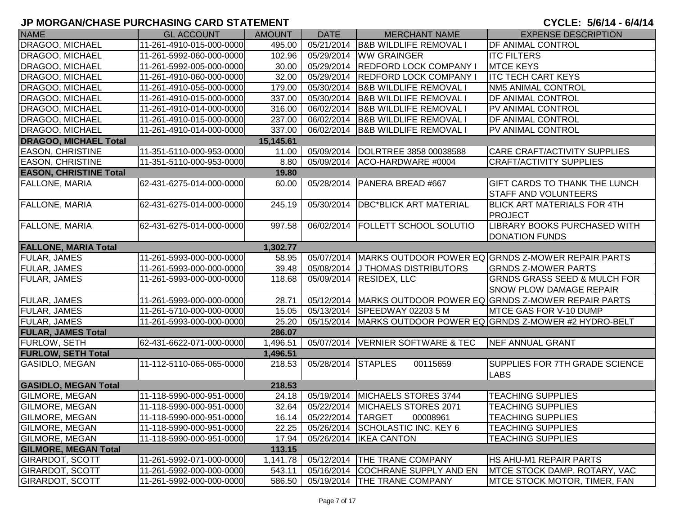| <b>NAME</b>                   | <b>GL ACCOUNT</b>        | <b>AMOUNT</b> | <b>DATE</b>       | <b>MERCHANT NAME</b>               | <b>EXPENSE DESCRIPTION</b>                                                |
|-------------------------------|--------------------------|---------------|-------------------|------------------------------------|---------------------------------------------------------------------------|
| DRAGOO, MICHAEL               | 11-261-4910-015-000-0000 | 495.00        |                   | 05/21/2014 B&B WILDLIFE REMOVAL I  | DF ANIMAL CONTROL                                                         |
| <b>DRAGOO, MICHAEL</b>        | 11-261-5992-060-000-0000 | 102.96        | 05/29/2014        | <b>WW GRAINGER</b>                 | <b>ITC FILTERS</b>                                                        |
| <b>DRAGOO, MICHAEL</b>        | 11-261-5992-005-000-0000 | 30.00         |                   | 05/29/2014 REDFORD LOCK COMPANY I  | <b>MTCE KEYS</b>                                                          |
| <b>DRAGOO, MICHAEL</b>        | 11-261-4910-060-000-0000 | 32.00         |                   | 05/29/2014  REDFORD LOCK COMPANY I | <b>ITC TECH CART KEYS</b>                                                 |
| DRAGOO, MICHAEL               | 11-261-4910-055-000-0000 | 179.00        | 05/30/2014        | <b>B&amp;B WILDLIFE REMOVAL I</b>  | <b>NM5 ANIMAL CONTROL</b>                                                 |
| DRAGOO, MICHAEL               | 11-261-4910-015-000-0000 | 337.00        | 05/30/2014        | <b>B&amp;B WILDLIFE REMOVAL I</b>  | DF ANIMAL CONTROL                                                         |
| DRAGOO, MICHAEL               | 11-261-4910-014-000-0000 | 316.00        | 06/02/2014        | <b>B&amp;B WILDLIFE REMOVAL I</b>  | <b>PV ANIMAL CONTROL</b>                                                  |
| DRAGOO, MICHAEL               | 11-261-4910-015-000-0000 | 237.00        | 06/02/2014        | <b>B&amp;B WILDLIFE REMOVAL I</b>  | DF ANIMAL CONTROL                                                         |
| DRAGOO, MICHAEL               | 11-261-4910-014-000-0000 | 337.00        | 06/02/2014        | <b>B&amp;B WILDLIFE REMOVAL I</b>  | PV ANIMAL CONTROL                                                         |
| <b>DRAGOO, MICHAEL Total</b>  |                          | 15,145.61     |                   |                                    |                                                                           |
| <b>EASON, CHRISTINE</b>       | 11-351-5110-000-953-0000 | 11.00         | 05/09/2014        | DOLRTREE 3858 00038588             | CARE CRAFT/ACTIVITY SUPPLIES                                              |
| <b>EASON, CHRISTINE</b>       | 11-351-5110-000-953-0000 | 8.80          |                   | 05/09/2014 ACO-HARDWARE #0004      | <b>CRAFT/ACTIVITY SUPPLIES</b>                                            |
| <b>EASON, CHRISTINE Total</b> |                          | 19.80         |                   |                                    |                                                                           |
| <b>FALLONE, MARIA</b>         | 62-431-6275-014-000-0000 | 60.00         | 05/28/2014        | PANERA BREAD #667                  | <b>GIFT CARDS TO THANK THE LUNCH</b><br><b>STAFF AND VOLUNTEERS</b>       |
| <b>FALLONE, MARIA</b>         | 62-431-6275-014-000-0000 | 245.19        | 05/30/2014        | <b>DBC*BLICK ART MATERIAL</b>      | <b>BLICK ART MATERIALS FOR 4TH</b><br><b>PROJECT</b>                      |
| <b>FALLONE, MARIA</b>         | 62-431-6275-014-000-0000 | 997.58        | 06/02/2014        | <b>FOLLETT SCHOOL SOLUTIO</b>      | LIBRARY BOOKS PURCHASED WITH<br><b>DONATION FUNDS</b>                     |
| <b>FALLONE, MARIA Total</b>   |                          | 1,302.77      |                   |                                    |                                                                           |
| <b>FULAR, JAMES</b>           | 11-261-5993-000-000-0000 | 58.95         |                   |                                    | 05/07/2014 MARKS OUTDOOR POWER EQ GRNDS Z-MOWER REPAIR PARTS              |
| <b>FULAR, JAMES</b>           | 11-261-5993-000-000-0000 | 39.48         |                   | 05/08/2014 J THOMAS DISTRIBUTORS   | <b>GRNDS Z-MOWER PARTS</b>                                                |
| <b>FULAR, JAMES</b>           | 11-261-5993-000-000-0000 | 118.68        | 05/09/2014        | <b>RESIDEX, LLC</b>                | <b>GRNDS GRASS SEED &amp; MULCH FOR</b><br><b>SNOW PLOW DAMAGE REPAIR</b> |
| FULAR, JAMES                  | 11-261-5993-000-000-0000 | 28.71         |                   |                                    | 05/12/2014   MARKS OUTDOOR POWER EQ GRNDS Z-MOWER REPAIR PARTS            |
| <b>FULAR, JAMES</b>           | 11-261-5710-000-000-0000 | 15.05         |                   | 05/13/2014 SPEEDWAY 02203 5 M      | MTCE GAS FOR V-10 DUMP                                                    |
| <b>FULAR, JAMES</b>           | 11-261-5993-000-000-0000 | 25.20         |                   |                                    | 05/15/2014   MARKS OUTDOOR POWER EQ GRNDS Z-MOWER #2 HYDRO-BELT           |
| <b>FULAR, JAMES Total</b>     |                          | 286.07        |                   |                                    |                                                                           |
| <b>FURLOW, SETH</b>           | 62-431-6622-071-000-0000 | 1,496.51      |                   | 05/07/2014 VERNIER SOFTWARE & TEC  | NEF ANNUAL GRANT                                                          |
| <b>FURLOW, SETH Total</b>     |                          | 1,496.51      |                   |                                    |                                                                           |
| GASIDLO, MEGAN                | 11-112-5110-065-065-0000 | 218.53        | 05/28/2014        | <b>STAPLES</b><br>00115659         | <b>SUPPLIES FOR 7TH GRADE SCIENCE</b><br><b>LABS</b>                      |
| <b>GASIDLO, MEGAN Total</b>   |                          | 218.53        |                   |                                    |                                                                           |
| <b>GILMORE, MEGAN</b>         | 11-118-5990-000-951-0000 | 24.18         |                   | 05/19/2014   MICHAELS STORES 3744  | <b>TEACHING SUPPLIES</b>                                                  |
| GILMORE, MEGAN                | 11-118-5990-000-951-0000 | 32.64         |                   | 05/22/2014   MICHAELS STORES 2071  | <b>TEACHING SUPPLIES</b>                                                  |
| <b>GILMORE, MEGAN</b>         | 11-118-5990-000-951-0000 | 16.14         | 05/22/2014 TARGET | 00008961                           | <b>TEACHING SUPPLIES</b>                                                  |
| <b>GILMORE, MEGAN</b>         | 11-118-5990-000-951-0000 | 22.25         |                   | 05/26/2014 SCHOLASTIC INC. KEY 6   | <b>TEACHING SUPPLIES</b>                                                  |
| <b>GILMORE, MEGAN</b>         | 11-118-5990-000-951-0000 | 17.94         |                   | 05/26/2014   IKEA CANTON           | <b>TEACHING SUPPLIES</b>                                                  |
| <b>GILMORE, MEGAN Total</b>   |                          | 113.15        |                   |                                    |                                                                           |
| <b>GIRARDOT, SCOTT</b>        | 11-261-5992-071-000-0000 | 1,141.78      | 05/12/2014        | <b>THE TRANE COMPANY</b>           | HS AHU-M1 REPAIR PARTS                                                    |
| <b>GIRARDOT, SCOTT</b>        | 11-261-5992-000-000-0000 | 543.11        | 05/16/2014        | <b>COCHRANE SUPPLY AND EN</b>      | <b>IMTCE STOCK DAMP. ROTARY, VAC</b>                                      |
| <b>GIRARDOT, SCOTT</b>        | 11-261-5992-000-000-0000 | 586.50        |                   | 05/19/2014 THE TRANE COMPANY       | <b>IMTCE STOCK MOTOR, TIMER, FAN</b>                                      |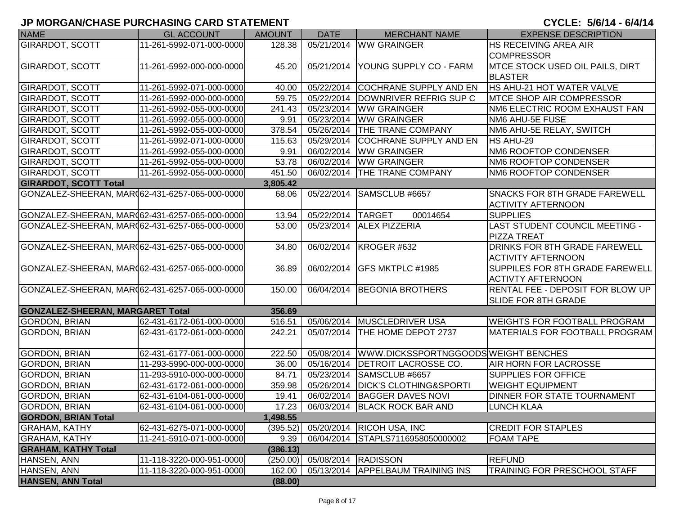| <b>NAME</b>                                     | <b>GL ACCOUNT</b>        | <b>AMOUNT</b> | <b>DATE</b>          | <b>MERCHANT NAME</b>                           | <b>EXPENSE DESCRIPTION</b>              |
|-------------------------------------------------|--------------------------|---------------|----------------------|------------------------------------------------|-----------------------------------------|
| <b>GIRARDOT, SCOTT</b>                          | 11-261-5992-071-000-0000 | 128.38        |                      | 05/21/2014 WW GRAINGER                         | <b>HS RECEIVING AREA AIR</b>            |
|                                                 |                          |               |                      |                                                | <b>COMPRESSOR</b>                       |
| <b>GIRARDOT, SCOTT</b>                          | 11-261-5992-000-000-0000 | 45.20         |                      | 05/21/2014   YOUNG SUPPLY CO - FARM            | <b>MTCE STOCK USED OIL PAILS, DIRT</b>  |
|                                                 |                          |               |                      |                                                | <b>BLASTER</b>                          |
| <b>GIRARDOT, SCOTT</b>                          | 11-261-5992-071-000-0000 | 40.00         |                      | 05/22/2014 COCHRANE SUPPLY AND EN              | HS AHU-21 HOT WATER VALVE               |
| <b>GIRARDOT, SCOTT</b>                          | 11-261-5992-000-000-0000 | 59.75         |                      | 05/22/2014  DOWNRIVER REFRIG SUP C             | <b>MTCE SHOP AIR COMPRESSOR</b>         |
| <b>GIRARDOT, SCOTT</b>                          | 11-261-5992-055-000-0000 | 241.43        |                      | 05/23/2014 WW GRAINGER                         | NM6 ELECTRIC ROOM EXHAUST FAN           |
| <b>GIRARDOT, SCOTT</b>                          | 11-261-5992-055-000-0000 | 9.91          |                      | 05/23/2014   WW GRAINGER                       | NM6 AHU-5E FUSE                         |
| <b>GIRARDOT, SCOTT</b>                          | 11-261-5992-055-000-0000 | 378.54        |                      | 05/26/2014   THE TRANE COMPANY                 | NM6 AHU-5E RELAY, SWITCH                |
| <b>GIRARDOT, SCOTT</b>                          | 11-261-5992-071-000-0000 | 115.63        | 05/29/2014           | <b>COCHRANE SUPPLY AND EN</b>                  | HS AHU-29                               |
| <b>GIRARDOT, SCOTT</b>                          | 11-261-5992-055-000-0000 | 9.91          | 06/02/2014           | <b>WW GRAINGER</b>                             | NM6 ROOFTOP CONDENSER                   |
| <b>GIRARDOT, SCOTT</b>                          | 11-261-5992-055-000-0000 | 53.78         |                      | 06/02/2014 WW GRAINGER                         | NM6 ROOFTOP CONDENSER                   |
| <b>GIRARDOT, SCOTT</b>                          | 11-261-5992-055-000-0000 | 451.50        |                      | 06/02/2014 THE TRANE COMPANY                   | NM6 ROOFTOP CONDENSER                   |
| <b>GIRARDOT, SCOTT Total</b>                    |                          | 3,805.42      |                      |                                                |                                         |
| GONZALEZ-SHEERAN, MAR062-431-6257-065-000-0000  |                          | 68.06         | 05/22/2014           | SAMSCLUB #6657                                 | <b>SNACKS FOR 8TH GRADE FAREWELL</b>    |
|                                                 |                          |               |                      |                                                | <b>ACTIVITY AFTERNOON</b>               |
| GONZALEZ-SHEERAN, MAR062-431-6257-065-000-0000  |                          | 13.94         | 05/22/2014 TARGET    | 00014654                                       | <b>SUPPLIES</b>                         |
| GONZALEZ-SHEERAN, MAR(62-431-6257-065-000-0000  |                          | 53.00         |                      | 05/23/2014 ALEX PIZZERIA                       | LAST STUDENT COUNCIL MEETING -          |
|                                                 |                          |               |                      |                                                | <b>PIZZA TREAT</b>                      |
| GONZALEZ-SHEERAN, MAR (62-431-6257-065-000-0000 |                          | 34.80         |                      | 06/02/2014 KROGER #632                         | <b>DRINKS FOR 8TH GRADE FAREWELL</b>    |
|                                                 |                          |               |                      |                                                | <b>ACTIVITY AFTERNOON</b>               |
| GONZALEZ-SHEERAN, MAR (62-431-6257-065-000-0000 |                          | 36.89         |                      | 06/02/2014 GFS MKTPLC #1985                    | <b>SUPPILES FOR 8TH GRADE FAREWELL</b>  |
|                                                 |                          |               |                      |                                                | <b>ACTIVTY AFTERNOON</b>                |
| GONZALEZ-SHEERAN, MAR062-431-6257-065-000-0000  |                          | 150.00        |                      | 06/04/2014 BEGONIA BROTHERS                    | <b>RENTAL FEE - DEPOSIT FOR BLOW UP</b> |
|                                                 |                          |               |                      |                                                | <b>SLIDE FOR 8TH GRADE</b>              |
| <b>GONZALEZ-SHEERAN, MARGARET Total</b>         |                          | 356.69        |                      |                                                |                                         |
| <b>GORDON, BRIAN</b>                            | 62-431-6172-061-000-0000 | 516.51        |                      | 05/06/2014   MUSCLEDRIVER USA                  | WEIGHTS FOR FOOTBALL PROGRAM            |
| <b>GORDON, BRIAN</b>                            | 62-431-6172-061-000-0000 | 242.21        |                      | 05/07/2014   THE HOME DEPOT 2737               | MATERIALS FOR FOOTBALL PROGRAM          |
|                                                 |                          |               |                      |                                                |                                         |
| <b>GORDON, BRIAN</b>                            | 62-431-6177-061-000-0000 | 222.50        |                      | 05/08/2014 WWW.DICKSSPORTNGGOODSWEIGHT BENCHES |                                         |
| <b>GORDON, BRIAN</b>                            | 11-293-5990-000-000-0000 | 36.00         |                      | 05/16/2014   DETROIT LACROSSE CO.              | <b>AIR HORN FOR LACROSSE</b>            |
| <b>GORDON, BRIAN</b>                            | 11-293-5910-000-000-0000 | 84.71         |                      | 05/23/2014 SAMSCLUB #6657                      | <b>SUPPLIES FOR OFFICE</b>              |
| GORDON, BRIAN                                   | 62-431-6172-061-000-0000 | 359.98        | 05/26/2014           | <b>DICK'S CLOTHING&amp;SPORTI</b>              | <b>WEIGHT EQUIPMENT</b>                 |
| GORDON, BRIAN                                   | 62-431-6104-061-000-0000 | 19.41         | 06/02/2014           | <b>BAGGER DAVES NOVI</b>                       | <b>DINNER FOR STATE TOURNAMENT</b>      |
| <b>GORDON, BRIAN</b>                            | 62-431-6104-061-000-0000 | 17.23         |                      | 06/03/2014 BLACK ROCK BAR AND                  | <b>LUNCH KLAA</b>                       |
| <b>GORDON, BRIAN Total</b>                      |                          | 1,498.55      |                      |                                                |                                         |
| <b>GRAHAM, KATHY</b>                            | 62-431-6275-071-000-0000 | (395.52)      |                      | 05/20/2014   RICOH USA, INC                    | <b>CREDIT FOR STAPLES</b>               |
| <b>GRAHAM, KATHY</b>                            | 11-241-5910-071-000-0000 | 9.39          |                      | 06/04/2014 STAPLS7116958050000002              | <b>FOAM TAPE</b>                        |
| <b>GRAHAM, KATHY Total</b>                      |                          | (386.13)      |                      |                                                |                                         |
| HANSEN, ANN                                     | 11-118-3220-000-951-0000 | (250.00)      | 05/08/2014  RADISSON |                                                | <b>REFUND</b>                           |
| HANSEN, ANN                                     | 11-118-3220-000-951-0000 | 162.00        |                      | 05/13/2014   APPELBAUM TRAINING INS            | TRAINING FOR PRESCHOOL STAFF            |
| <b>HANSEN, ANN Total</b>                        |                          | (88.00)       |                      |                                                |                                         |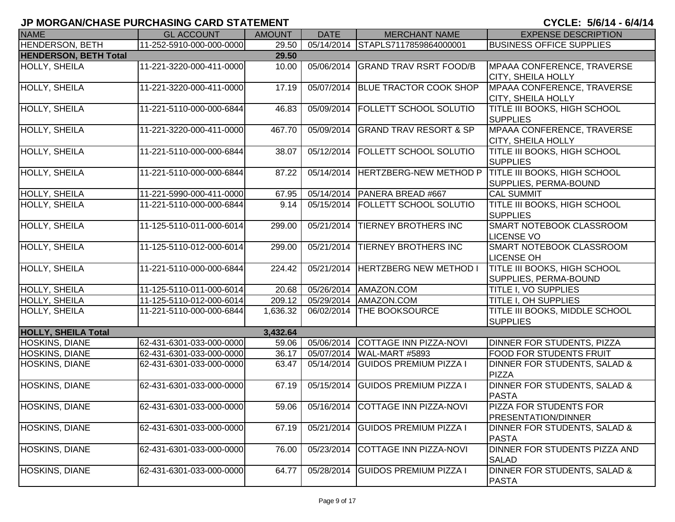| <b>NAME</b>                  | <b>GL ACCOUNT</b>        | <b>AMOUNT</b> | <b>DATE</b> | <b>MERCHANT NAME</b>                      | <b>EXPENSE DESCRIPTION</b>                                   |
|------------------------------|--------------------------|---------------|-------------|-------------------------------------------|--------------------------------------------------------------|
| <b>HENDERSON, BETH</b>       | 11-252-5910-000-000-0000 | 29.50         |             | 05/14/2014 STAPLS7117859864000001         | <b>BUSINESS OFFICE SUPPLIES</b>                              |
| <b>HENDERSON, BETH Total</b> |                          | 29.50         |             |                                           |                                                              |
| HOLLY, SHEILA                | 11-221-3220-000-411-0000 | 10.00         | 05/06/2014  | <b>GRAND TRAV RSRT FOOD/B</b>             | MPAAA CONFERENCE, TRAVERSE<br><b>CITY, SHEILA HOLLY</b>      |
| <b>HOLLY, SHEILA</b>         | 11-221-3220-000-411-0000 | 17.19         | 05/07/2014  | <b>BLUE TRACTOR COOK SHOP</b>             | MPAAA CONFERENCE, TRAVERSE<br><b>CITY, SHEILA HOLLY</b>      |
| HOLLY, SHEILA                | 11-221-5110-000-000-6844 | 46.83         | 05/09/2014  | <b>FOLLETT SCHOOL SOLUTIO</b>             | <b>TITLE III BOOKS, HIGH SCHOOL</b><br><b>SUPPLIES</b>       |
| HOLLY, SHEILA                | 11-221-3220-000-411-0000 | 467.70        | 05/09/2014  | <b>GRAND TRAV RESORT &amp; SP</b>         | MPAAA CONFERENCE, TRAVERSE<br><b>CITY, SHEILA HOLLY</b>      |
| HOLLY, SHEILA                | 11-221-5110-000-000-6844 | 38.07         |             | 05/12/2014 FOLLETT SCHOOL SOLUTIO         | <b>TITLE III BOOKS, HIGH SCHOOL</b><br><b>SUPPLIES</b>       |
| HOLLY, SHEILA                | 11-221-5110-000-000-6844 | 87.22         |             | 05/14/2014 HERTZBERG-NEW METHOD P         | <b>TITLE III BOOKS, HIGH SCHOOL</b><br>SUPPLIES, PERMA-BOUND |
| <b>HOLLY, SHEILA</b>         | 11-221-5990-000-411-0000 | 67.95         |             | 05/14/2014   PANERA BREAD #667            | <b>CAL SUMMIT</b>                                            |
| HOLLY, SHEILA                | 11-221-5110-000-000-6844 | 9.14          |             | 05/15/2014   FOLLETT SCHOOL SOLUTIO       | <b>TITLE III BOOKS, HIGH SCHOOL</b><br><b>SUPPLIES</b>       |
| <b>HOLLY, SHEILA</b>         | 11-125-5110-011-000-6014 | 299.00        | 05/21/2014  | <b>TIERNEY BROTHERS INC</b>               | SMART NOTEBOOK CLASSROOM<br><b>LICENSE VO</b>                |
| HOLLY, SHEILA                | 11-125-5110-012-000-6014 | 299.00        | 05/21/2014  | <b>TIERNEY BROTHERS INC</b>               | <b>SMART NOTEBOOK CLASSROOM</b><br><b>LICENSE OH</b>         |
| HOLLY, SHEILA                | 11-221-5110-000-000-6844 | 224.42        | 05/21/2014  | <b>HERTZBERG NEW METHOD I</b>             | <b>TITLE III BOOKS, HIGH SCHOOL</b><br>SUPPLIES, PERMA-BOUND |
| HOLLY, SHEILA                | 11-125-5110-011-000-6014 | 20.68         |             | 05/26/2014   AMAZON.COM                   | <b>TITLE I, VO SUPPLIES</b>                                  |
| HOLLY, SHEILA                | 11-125-5110-012-000-6014 | 209.12        |             | 05/29/2014   AMAZON.COM                   | <b>TITLE I, OH SUPPLIES</b>                                  |
| HOLLY, SHEILA                | 11-221-5110-000-000-6844 | 1,636.32      |             | 06/02/2014   THE BOOKSOURCE               | <b>TITLE III BOOKS, MIDDLE SCHOOL</b><br><b>SUPPLIES</b>     |
| <b>HOLLY, SHEILA Total</b>   |                          | 3,432.64      |             |                                           |                                                              |
| HOSKINS, DIANE               | 62-431-6301-033-000-0000 | 59.06         | 05/06/2014  | COTTAGE INN PIZZA-NOVI                    | DINNER FOR STUDENTS, PIZZA                                   |
| HOSKINS, DIANE               | 62-431-6301-033-000-0000 | 36.17         |             | 05/07/2014   WAL-MART #5893               | <b>FOOD FOR STUDENTS FRUIT</b>                               |
| HOSKINS, DIANE               | 62-431-6301-033-000-0000 | 63.47         | 05/14/2014  | <b>GUIDOS PREMIUM PIZZA I</b>             | DINNER FOR STUDENTS, SALAD &<br>PIZZA                        |
| HOSKINS, DIANE               | 62-431-6301-033-000-0000 | 67.19         | 05/15/2014  | <b>GUIDOS PREMIUM PIZZA I</b>             | DINNER FOR STUDENTS, SALAD &<br><b>PASTA</b>                 |
| <b>HOSKINS, DIANE</b>        | 62-431-6301-033-000-0000 |               |             | 59.06   05/16/2014 COTTAGE INN PIZZA-NOVI | <b>PIZZA FOR STUDENTS FOR</b><br><b>PRESENTATION/DINNER</b>  |
| <b>HOSKINS, DIANE</b>        | 62-431-6301-033-000-0000 | 67.19         | 05/21/2014  | <b>GUIDOS PREMIUM PIZZA I</b>             | DINNER FOR STUDENTS, SALAD &<br><b>PASTA</b>                 |
| HOSKINS, DIANE               | 62-431-6301-033-000-0000 | 76.00         | 05/23/2014  | COTTAGE INN PIZZA-NOVI                    | DINNER FOR STUDENTS PIZZA AND<br><b>SALAD</b>                |
| <b>HOSKINS, DIANE</b>        | 62-431-6301-033-000-0000 | 64.77         | 05/28/2014  | <b>GUIDOS PREMIUM PIZZA I</b>             | DINNER FOR STUDENTS, SALAD &<br><b>PASTA</b>                 |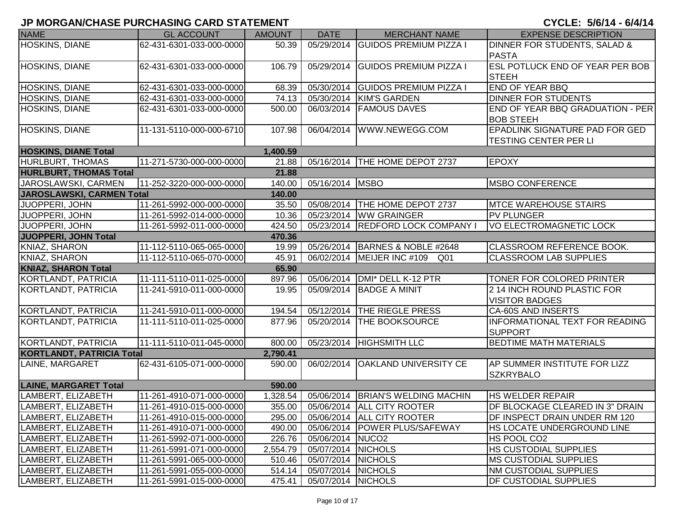| <b>NAME</b>                      | <b>GL ACCOUNT</b>        | <b>AMOUNT</b> | <b>DATE</b>        | <b>MERCHANT NAME</b>                | <b>EXPENSE DESCRIPTION</b>                           |
|----------------------------------|--------------------------|---------------|--------------------|-------------------------------------|------------------------------------------------------|
| <b>HOSKINS, DIANE</b>            | 62-431-6301-033-000-0000 | 50.39         | 05/29/2014         | <b>GUIDOS PREMIUM PIZZA I</b>       | DINNER FOR STUDENTS, SALAD &                         |
|                                  |                          |               |                    |                                     | <b>PASTA</b>                                         |
| HOSKINS, DIANE                   | 62-431-6301-033-000-0000 | 106.79        | 05/29/2014         | <b>GUIDOS PREMIUM PIZZA I</b>       | <b>ESL POTLUCK END OF YEAR PER BOB</b>               |
|                                  |                          |               |                    |                                     | <b>STEEH</b>                                         |
| HOSKINS, DIANE                   | 62-431-6301-033-000-0000 | 68.39         | 05/30/2014         | <b>GUIDOS PREMIUM PIZZA I</b>       | <b>END OF YEAR BBQ</b>                               |
| HOSKINS, DIANE                   | 62-431-6301-033-000-0000 | 74.13         | 05/30/2014         | KIM'S GARDEN                        | <b>DINNER FOR STUDENTS</b>                           |
| HOSKINS, DIANE                   | 62-431-6301-033-000-0000 | 500.00        | 06/03/2014         | <b>FAMOUS DAVES</b>                 | END OF YEAR BBQ GRADUATION - PER                     |
|                                  |                          |               |                    |                                     | <b>BOB STEEH</b>                                     |
| HOSKINS, DIANE                   | 11-131-5110-000-000-6710 | 107.98        | 06/04/2014         | WWW.NEWEGG.COM                      | EPADLINK SIGNATURE PAD FOR GED                       |
|                                  |                          |               |                    |                                     | TESTING CENTER PER LI                                |
| <b>HOSKINS, DIANE Total</b>      |                          | 1,400.59      |                    |                                     |                                                      |
| <b>HURLBURT, THOMAS</b>          | 11-271-5730-000-000-0000 | 21.88         |                    | 05/16/2014   THE HOME DEPOT 2737    | <b>EPOXY</b>                                         |
| <b>HURLBURT, THOMAS Total</b>    |                          | 21.88         |                    |                                     |                                                      |
| JAROSLAWSKI, CARMEN              | 11-252-3220-000-000-0000 | 140.00        | 05/16/2014 MSBO    |                                     | <b>MSBO CONFERENCE</b>                               |
| JAROSLAWSKI, CARMEN Total        |                          | 140.00        |                    |                                     |                                                      |
| JUOPPERI, JOHN                   | 11-261-5992-000-000-0000 | 35.50         |                    | 05/08/2014  THE HOME DEPOT 2737     | <b>MTCE WAREHOUSE STAIRS</b>                         |
| JUOPPERI, JOHN                   | 11-261-5992-014-000-0000 | 10.36         |                    | 05/23/2014 WW GRAINGER              | <b>PV PLUNGER</b>                                    |
| JUOPPERI, JOHN                   | 11-261-5992-011-000-0000 | 424.50        | 05/23/2014         | <b>REDFORD LOCK COMPANY I</b>       | <b>VO ELECTROMAGNETIC LOCK</b>                       |
| JUOPPERI, JOHN Total             |                          | 470.36        |                    |                                     |                                                      |
| KNIAZ, SHARON                    | 11-112-5110-065-065-0000 | 19.99         |                    | 05/26/2014   BARNES & NOBLE #2648   | CLASSROOM REFERENCE BOOK.                            |
| KNIAZ, SHARON                    | 11-112-5110-065-070-0000 | 45.91         |                    | 06/02/2014   MEIJER INC #109<br>Q01 | <b>CLASSROOM LAB SUPPLIES</b>                        |
| <b>KNIAZ, SHARON Total</b>       |                          | 65.90         |                    |                                     |                                                      |
| KORTLANDT, PATRICIA              | 11-111-5110-011-025-0000 | 897.96        | 05/06/2014         | DMI* DELL K-12 PTR                  | TONER FOR COLORED PRINTER                            |
| KORTLANDT, PATRICIA              | 11-241-5910-011-000-0000 | 19.95         | 05/09/2014         | <b>BADGE A MINIT</b>                | 2 14 INCH ROUND PLASTIC FOR<br><b>VISITOR BADGES</b> |
| <b>KORTLANDT, PATRICIA</b>       | 11-241-5910-011-000-0000 | 194.54        |                    | 05/12/2014 THE RIEGLE PRESS         | CA-60S AND INSERTS                                   |
| KORTLANDT, PATRICIA              | 11-111-5110-011-025-0000 | 877.96        | 05/20/2014         | <b>THE BOOKSOURCE</b>               | <b>INFORMATIONAL TEXT FOR READING</b>                |
|                                  |                          |               |                    |                                     | <b>SUPPORT</b>                                       |
| KORTLANDT, PATRICIA              | 11-111-5110-011-045-0000 | 800.00        |                    | 05/23/2014   HIGHSMITH LLC          | <b>BEDTIME MATH MATERIALS</b>                        |
| <b>KORTLANDT, PATRICIA Total</b> |                          | 2,790.41      |                    |                                     |                                                      |
| LAINE, MARGARET                  | 62-431-6105-071-000-0000 | 590.00        | 06/02/2014         | <b>OAKLAND UNIVERSITY CE</b>        | AP SUMMER INSTITUTE FOR LIZZ                         |
|                                  |                          |               |                    |                                     | <b>SZKRYBALO</b>                                     |
| <b>LAINE, MARGARET Total</b>     |                          | 590.00        |                    |                                     |                                                      |
| LAMBERT, ELIZABETH               | 11-261-4910-071-000-0000 | 1,328.54      |                    | 05/06/2014 BRIAN'S WELDING MACHIN   | <b>HS WELDER REPAIR</b>                              |
| LAMBERT, ELIZABETH               | 11-261-4910-015-000-0000 | 355.00        |                    | 05/06/2014 ALL CITY ROOTER          | DF BLOCKAGE CLEARED IN 3" DRAIN                      |
| LAMBERT, ELIZABETH               | 11-261-4910-015-000-0000 | 295.00        |                    | 05/06/2014   ALL CITY ROOTER        | DF INSPECT DRAIN UNDER RM 120                        |
| LAMBERT, ELIZABETH               | 11-261-4910-071-000-0000 | 490.00        |                    | 05/06/2014   POWER PLUS/SAFEWAY     | HS LOCATE UNDERGROUND LINE                           |
| LAMBERT, ELIZABETH               | 11-261-5992-071-000-0000 | 226.76        | 05/06/2014 NUCO2   |                                     | HS POOL CO2                                          |
| LAMBERT, ELIZABETH               | 11-261-5991-071-000-0000 | 2,554.79      | 05/07/2014 NICHOLS |                                     | <b>HS CUSTODIAL SUPPLIES</b>                         |
| LAMBERT, ELIZABETH               | 11-261-5991-065-000-0000 | 510.46        | 05/07/2014 NICHOLS |                                     | <b>MS CUSTODIAL SUPPLIES</b>                         |
| LAMBERT, ELIZABETH               | 11-261-5991-055-000-0000 | 514.14        | 05/07/2014 NICHOLS |                                     | <b>NM CUSTODIAL SUPPLIES</b>                         |
| LAMBERT, ELIZABETH               | 11-261-5991-015-000-0000 | 475.41        | 05/07/2014 NICHOLS |                                     | <b>DF CUSTODIAL SUPPLIES</b>                         |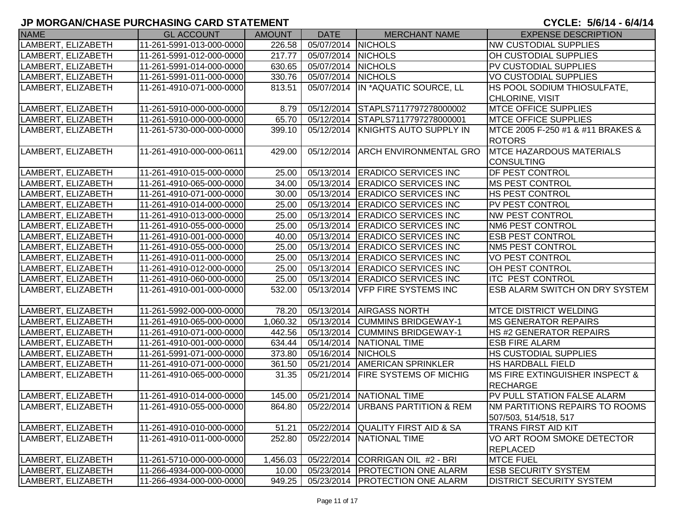| <b>NAME</b>        | <b>GL ACCOUNT</b>        | <b>AMOUNT</b> | <b>DATE</b>        | <b>MERCHANT NAME</b>                | <b>EXPENSE DESCRIPTION</b>            |
|--------------------|--------------------------|---------------|--------------------|-------------------------------------|---------------------------------------|
| LAMBERT, ELIZABETH | 11-261-5991-013-000-0000 | 226.58        | 05/07/2014 NICHOLS |                                     | <b>NW CUSTODIAL SUPPLIES</b>          |
| LAMBERT, ELIZABETH | 11-261-5991-012-000-0000 | 217.77        | 05/07/2014 NICHOLS |                                     | OH CUSTODIAL SUPPLIES                 |
| LAMBERT, ELIZABETH | 11-261-5991-014-000-0000 | 630.65        | 05/07/2014 NICHOLS |                                     | PV CUSTODIAL SUPPLIES                 |
| LAMBERT, ELIZABETH | 11-261-5991-011-000-0000 | 330.76        | 05/07/2014 NICHOLS |                                     | <b>VO CUSTODIAL SUPPLIES</b>          |
| LAMBERT, ELIZABETH | 11-261-4910-071-000-0000 | 813.51        |                    | 05/07/2014 IN *AQUATIC SOURCE, LL   | <b>HS POOL SODIUM THIOSULFATE,</b>    |
|                    |                          |               |                    |                                     | CHLORINE, VISIT                       |
| LAMBERT, ELIZABETH | 11-261-5910-000-000-0000 | 8.79          |                    | 05/12/2014 STAPLS7117797278000002   | <b>MTCE OFFICE SUPPLIES</b>           |
| LAMBERT, ELIZABETH | 11-261-5910-000-000-0000 | 65.70         |                    | 05/12/2014 STAPLS7117797278000001   | <b>MTCE OFFICE SUPPLIES</b>           |
| LAMBERT, ELIZABETH | 11-261-5730-000-000-0000 | 399.10        | 05/12/2014         | KNIGHTS AUTO SUPPLY IN              | MTCE 2005 F-250 #1 & #11 BRAKES &     |
|                    |                          |               |                    |                                     | <b>ROTORS</b>                         |
| LAMBERT, ELIZABETH | 11-261-4910-000-000-0611 | 429.00        | 05/12/2014         | <b>ARCH ENVIRONMENTAL GRO</b>       | <b>MTCE HAZARDOUS MATERIALS</b>       |
|                    |                          |               |                    |                                     | <b>CONSULTING</b>                     |
| LAMBERT, ELIZABETH | 11-261-4910-015-000-0000 | 25.00         |                    | 05/13/2014 ERADICO SERVICES INC     | <b>DF PEST CONTROL</b>                |
| LAMBERT, ELIZABETH | 11-261-4910-065-000-0000 | 34.00         |                    | 05/13/2014 ERADICO SERVICES INC     | <b>MS PEST CONTROL</b>                |
| LAMBERT, ELIZABETH | 11-261-4910-071-000-0000 | 30.00         |                    | 05/13/2014 ERADICO SERVICES INC     | <b>HS PEST CONTROL</b>                |
| LAMBERT, ELIZABETH | 11-261-4910-014-000-0000 | 25.00         |                    | 05/13/2014 ERADICO SERVICES INC     | PV PEST CONTROL                       |
| LAMBERT, ELIZABETH | 11-261-4910-013-000-0000 | 25.00         |                    | 05/13/2014 ERADICO SERVICES INC     | <b>NW PEST CONTROL</b>                |
| LAMBERT, ELIZABETH | 11-261-4910-055-000-0000 | 25.00         |                    | 05/13/2014 ERADICO SERVICES INC     | NM6 PEST CONTROL                      |
| LAMBERT, ELIZABETH | 11-261-4910-001-000-0000 | 40.00         |                    | 05/13/2014 ERADICO SERVICES INC     | <b>ESB PEST CONTROL</b>               |
| LAMBERT, ELIZABETH | 11-261-4910-055-000-0000 | 25.00         |                    | 05/13/2014 ERADICO SERVICES INC     | <b>NM5 PEST CONTROL</b>               |
| LAMBERT, ELIZABETH | 11-261-4910-011-000-0000 | 25.00         |                    | 05/13/2014 ERADICO SERVICES INC     | <b>VO PEST CONTROL</b>                |
| LAMBERT, ELIZABETH | 11-261-4910-012-000-0000 | 25.00         |                    | 05/13/2014 ERADICO SERVICES INC     | OH PEST CONTROL                       |
| LAMBERT, ELIZABETH | 11-261-4910-060-000-0000 | 25.00         |                    | 05/13/2014 ERADICO SERVICES INC     | <b>ITC PEST CONTROL</b>               |
| LAMBERT, ELIZABETH | 11-261-4910-001-000-0000 | 532.00        | 05/13/2014         | <b>VFP FIRE SYSTEMS INC</b>         | <b>ESB ALARM SWITCH ON DRY SYSTEM</b> |
|                    |                          |               |                    |                                     |                                       |
| LAMBERT, ELIZABETH | 11-261-5992-000-000-0000 | 78.20         |                    | 05/13/2014   AIRGASS NORTH          | <b>MTCE DISTRICT WELDING</b>          |
| LAMBERT, ELIZABETH | 11-261-4910-065-000-0000 | 1,060.32      | 05/13/2014         | <b>CUMMINS BRIDGEWAY-1</b>          | <b>MS GENERATOR REPAIRS</b>           |
| LAMBERT, ELIZABETH | 11-261-4910-071-000-0000 | 442.56        | 05/13/2014         | <b>CUMMINS BRIDGEWAY-1</b>          | <b>HS #2 GENERATOR REPAIRS</b>        |
| LAMBERT, ELIZABETH | 11-261-4910-001-000-0000 | 634.44        |                    | 05/14/2014 NATIONAL TIME            | <b>ESB FIRE ALARM</b>                 |
| LAMBERT, ELIZABETH | 11-261-5991-071-000-0000 | 373.80        | 05/16/2014 NICHOLS |                                     | <b>HS CUSTODIAL SUPPLIES</b>          |
| LAMBERT, ELIZABETH | 11-261-4910-071-000-0000 | 361.50        |                    | 05/21/2014   AMERICAN SPRINKLER     | <b>HS HARDBALL FIELD</b>              |
| LAMBERT, ELIZABETH | 11-261-4910-065-000-0000 | 31.35         |                    | 05/21/2014   FIRE SYSTEMS OF MICHIG | MS FIRE EXTINGUISHER INSPECT &        |
|                    |                          |               |                    |                                     | <b>RECHARGE</b>                       |
| LAMBERT, ELIZABETH | 11-261-4910-014-000-0000 | 145.00        |                    | 05/21/2014 NATIONAL TIME            | PV PULL STATION FALSE ALARM           |
| LAMBERT, ELIZABETH | 11-261-4910-055-000-0000 | 864.80        |                    | 05/22/2014 URBANS PARTITION & REM   | INM PARTITIONS REPAIRS TO ROOMS       |
|                    |                          |               |                    |                                     | 507/503, 514/518, 517                 |
| LAMBERT, ELIZABETH | 11-261-4910-010-000-0000 | 51.21         | 05/22/2014         | <b>QUALITY FIRST AID &amp; SA</b>   | <b>TRANS FIRST AID KIT</b>            |
| LAMBERT, ELIZABETH | 11-261-4910-011-000-0000 | 252.80        | 05/22/2014         | <b>INATIONAL TIME</b>               | VO ART ROOM SMOKE DETECTOR            |
|                    |                          |               |                    |                                     | <b>REPLACED</b>                       |
| LAMBERT, ELIZABETH | 11-261-5710-000-000-0000 | 1,456.03      | 05/22/2014         | CORRIGAN OIL #2 - BRI               | <b>MTCE FUEL</b>                      |
| LAMBERT, ELIZABETH | 11-266-4934-000-000-0000 | 10.00         | 05/23/2014         | <b>PROTECTION ONE ALARM</b>         | <b>ESB SECURITY SYSTEM</b>            |
| LAMBERT, ELIZABETH | 11-266-4934-000-000-0000 | 949.25        |                    | 05/23/2014   PROTECTION ONE ALARM   | <b>DISTRICT SECURITY SYSTEM</b>       |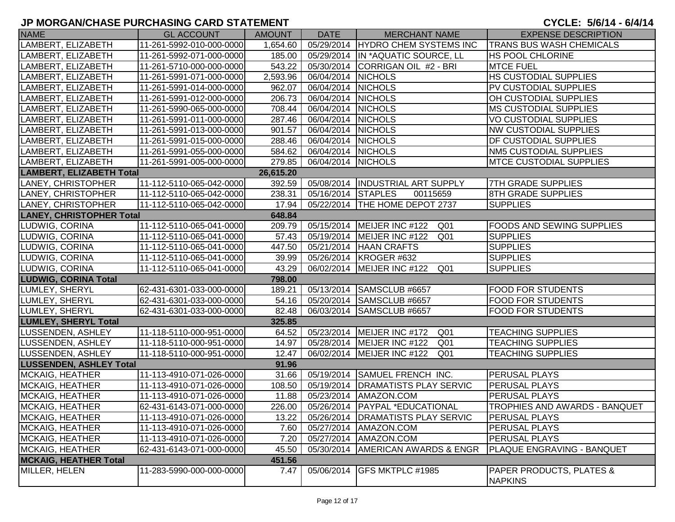| <b>NAME</b>                     | <b>GL ACCOUNT</b>        | <b>AMOUNT</b> | <b>DATE</b>        | <b>MERCHANT NAME</b>                            | <b>EXPENSE DESCRIPTION</b>                            |
|---------------------------------|--------------------------|---------------|--------------------|-------------------------------------------------|-------------------------------------------------------|
| LAMBERT, ELIZABETH              | 11-261-5992-010-000-0000 | 1,654.60      |                    | 05/29/2014 HYDRO CHEM SYSTEMS INC               | <b>TRANS BUS WASH CHEMICALS</b>                       |
| LAMBERT, ELIZABETH              | 11-261-5992-071-000-0000 | 185.00        |                    | 05/29/2014 IN *AQUATIC SOURCE, LL               | <b>HS POOL CHLORINE</b>                               |
| LAMBERT, ELIZABETH              | 11-261-5710-000-000-0000 | 543.22        |                    | 05/30/2014 CORRIGAN OIL #2 - BRI                | <b>MTCE FUEL</b>                                      |
| LAMBERT, ELIZABETH              | 11-261-5991-071-000-0000 | 2,593.96      | 06/04/2014 NICHOLS |                                                 | <b>HS CUSTODIAL SUPPLIES</b>                          |
| LAMBERT, ELIZABETH              | 11-261-5991-014-000-0000 | 962.07        | 06/04/2014 NICHOLS |                                                 | PV CUSTODIAL SUPPLIES                                 |
| LAMBERT, ELIZABETH              | 11-261-5991-012-000-0000 | 206.73        | 06/04/2014         | <b>NICHOLS</b>                                  | OH CUSTODIAL SUPPLIES                                 |
| LAMBERT, ELIZABETH              | 11-261-5990-065-000-0000 | 708.44        | 06/04/2014         | <b>NICHOLS</b>                                  | <b>MS CUSTODIAL SUPPLIES</b>                          |
| LAMBERT, ELIZABETH              | 11-261-5991-011-000-0000 | 287.46        | 06/04/2014         | <b>NICHOLS</b>                                  | VO CUSTODIAL SUPPLIES                                 |
| LAMBERT, ELIZABETH              | 11-261-5991-013-000-0000 | 901.57        | 06/04/2014         | <b>NICHOLS</b>                                  | <b>NW CUSTODIAL SUPPLIES</b>                          |
| LAMBERT, ELIZABETH              | 11-261-5991-015-000-0000 | 288.46        | 06/04/2014         | <b>NICHOLS</b>                                  | DF CUSTODIAL SUPPLIES                                 |
| LAMBERT, ELIZABETH              | 11-261-5991-055-000-0000 | 584.62        | 06/04/2014 NICHOLS |                                                 | <b>NM5 CUSTODIAL SUPPLIES</b>                         |
| LAMBERT, ELIZABETH              | 11-261-5991-005-000-0000 | 279.85        | 06/04/2014 NICHOLS |                                                 | <b>MTCE CUSTODIAL SUPPLIES</b>                        |
| <b>LAMBERT, ELIZABETH Total</b> |                          | 26,615.20     |                    |                                                 |                                                       |
| LANEY, CHRISTOPHER              | 11-112-5110-065-042-0000 | 392.59        |                    | 05/08/2014  INDUSTRIAL ART SUPPLY               | 7TH GRADE SUPPLIES                                    |
| LANEY, CHRISTOPHER              | 11-112-5110-065-042-0000 | 238.31        | 05/16/2014 STAPLES | 00115659                                        | 8TH GRADE SUPPLIES                                    |
| LANEY, CHRISTOPHER              | 11-112-5110-065-042-0000 | 17.94         |                    | 05/22/2014   THE HOME DEPOT 2737                | <b>SUPPLIES</b>                                       |
| <b>LANEY, CHRISTOPHER Total</b> |                          | 648.84        |                    |                                                 |                                                       |
| LUDWIG, CORINA                  | 11-112-5110-065-041-0000 | 209.79        |                    | 05/15/2014 MEIJER INC #122 Q01                  | <b>FOODS AND SEWING SUPPLIES</b>                      |
| LUDWIG, CORINA                  | 11-112-5110-065-041-0000 | 57.43         |                    | 05/19/2014   MEIJER INC #122<br>Q01             | <b>SUPPLIES</b>                                       |
| LUDWIG, CORINA                  | 11-112-5110-065-041-0000 | 447.50        | 05/21/2014         | <b>HAAN CRAFTS</b>                              | <b>SUPPLIES</b>                                       |
| LUDWIG, CORINA                  | 11-112-5110-065-041-0000 | 39.99         |                    | 05/26/2014 KROGER #632                          | <b>SUPPLIES</b>                                       |
| LUDWIG, CORINA                  | 11-112-5110-065-041-0000 | 43.29         |                    | 06/02/2014   MEIJER INC #122<br>Q01             | <b>SUPPLIES</b>                                       |
| <b>LUDWIG, CORINA Total</b>     |                          | 798.00        |                    |                                                 |                                                       |
| LUMLEY, SHERYL                  | 62-431-6301-033-000-0000 | 189.21        |                    | 05/13/2014 SAMSCLUB #6657                       | <b>FOOD FOR STUDENTS</b>                              |
| LUMLEY, SHERYL                  | 62-431-6301-033-000-0000 | 54.16         |                    | 05/20/2014 SAMSCLUB #6657                       | <b>FOOD FOR STUDENTS</b>                              |
| LUMLEY, SHERYL                  | 62-431-6301-033-000-0000 | 82.48         |                    | 06/03/2014 SAMSCLUB #6657                       | <b>FOOD FOR STUDENTS</b>                              |
| <b>LUMLEY, SHERYL Total</b>     |                          | 325.85        |                    |                                                 |                                                       |
| LUSSENDEN, ASHLEY               | 11-118-5110-000-951-0000 | 64.52         |                    | 05/23/2014 MEIJER INC #172<br>Q01               | <b>TEACHING SUPPLIES</b>                              |
| LUSSENDEN, ASHLEY               | 11-118-5110-000-951-0000 | 14.97         |                    | 05/28/2014   MEIJER INC #122<br>Q <sub>01</sub> | <b>TEACHING SUPPLIES</b>                              |
| LUSSENDEN, ASHLEY               | 11-118-5110-000-951-0000 | 12.47         |                    | 06/02/2014   MEIJER INC #122<br>Q <sub>01</sub> | <b>TEACHING SUPPLIES</b>                              |
| <b>LUSSENDEN, ASHLEY Total</b>  |                          | 91.96         |                    |                                                 |                                                       |
| MCKAIG, HEATHER                 | 11-113-4910-071-026-0000 | 31.66         | 05/19/2014         | <b>SAMUEL FRENCH INC.</b>                       | PERUSAL PLAYS                                         |
| MCKAIG, HEATHER                 | 11-113-4910-071-026-0000 | 108.50        |                    | 05/19/2014   DRAMATISTS PLAY SERVIC             | <b>PERUSAL PLAYS</b>                                  |
| MCKAIG, HEATHER                 | 11-113-4910-071-026-0000 | 11.88         | 05/23/2014         | AMAZON.COM                                      | <b>PERUSAL PLAYS</b>                                  |
| <b>MCKAIG, HEATHER</b>          | 62-431-6143-071-000-0000 | 226.00        |                    | 05/26/2014   PAYPAL *EDUCATIONAL                | <b>TROPHIES AND AWARDS - BANQUET</b>                  |
| MCKAIG, HEATHER                 | 11-113-4910-071-026-0000 | 13.22         |                    | 05/26/2014   DRAMATISTS PLAY SERVIC             | <b>PERUSAL PLAYS</b>                                  |
| <b>MCKAIG, HEATHER</b>          | 11-113-4910-071-026-0000 | 7.60          | 05/27/2014         | AMAZON.COM                                      | PERUSAL PLAYS                                         |
| <b>MCKAIG, HEATHER</b>          | 11-113-4910-071-026-0000 | 7.20          | 05/27/2014         | AMAZON.COM                                      | PERUSAL PLAYS                                         |
| <b>MCKAIG, HEATHER</b>          | 62-431-6143-071-000-0000 | 45.50         | 05/30/2014         | <b>AMERICAN AWARDS &amp; ENGR</b>               | <b>PLAQUE ENGRAVING - BANQUET</b>                     |
| <b>MCKAIG, HEATHER Total</b>    |                          | 451.56        |                    |                                                 |                                                       |
| MILLER, HELEN                   | 11-283-5990-000-000-0000 | 7.47          | 05/06/2014         | GFS MKTPLC #1985                                | <b>PAPER PRODUCTS, PLATES &amp;</b><br><b>NAPKINS</b> |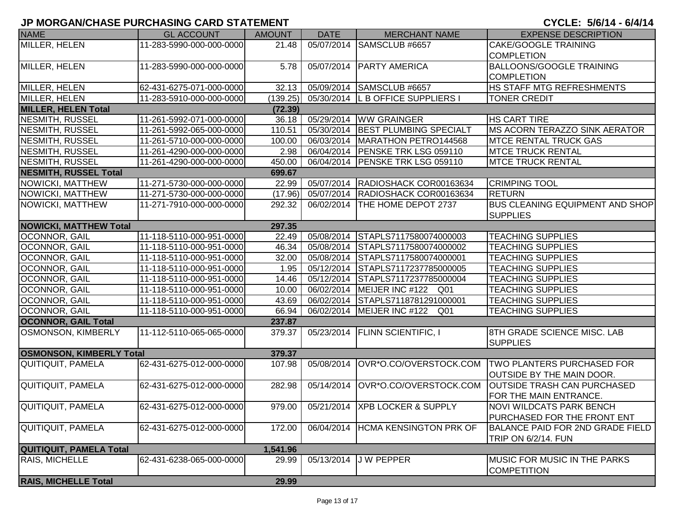| <b>NAME</b>                     | <b>GL ACCOUNT</b>        | <b>AMOUNT</b> | <b>DATE</b> | <b>MERCHANT NAME</b>                      | <b>EXPENSE DESCRIPTION</b>                                                            |
|---------------------------------|--------------------------|---------------|-------------|-------------------------------------------|---------------------------------------------------------------------------------------|
| MILLER, HELEN                   | 11-283-5990-000-000-0000 | 21.48         |             | 05/07/2014 SAMSCLUB #6657                 | <b>CAKE/GOOGLE TRAINING</b>                                                           |
|                                 |                          |               |             |                                           | <b>COMPLETION</b>                                                                     |
| MILLER, HELEN                   | 11-283-5990-000-000-0000 | 5.78          |             | 05/07/2014   PARTY AMERICA                | <b>BALLOONS/GOOGLE TRAINING</b>                                                       |
|                                 |                          |               |             |                                           | <b>COMPLETION</b>                                                                     |
| MILLER, HELEN                   | 62-431-6275-071-000-0000 | 32.13         | 05/09/2014  | SAMSCLUB #6657                            | HS STAFF MTG REFRESHMENTS                                                             |
| MILLER, HELEN                   | 11-283-5910-000-000-0000 | (139.25)      |             | 05/30/2014 L B OFFICE SUPPLIERS I         | <b>TONER CREDIT</b>                                                                   |
| <b>MILLER, HELEN Total</b>      |                          | (72.39)       |             |                                           |                                                                                       |
| <b>NESMITH, RUSSEL</b>          | 11-261-5992-071-000-0000 | 36.18         | 05/29/2014  | <b>WW GRAINGER</b>                        | <b>HS CART TIRE</b>                                                                   |
| <b>NESMITH, RUSSEL</b>          | 11-261-5992-065-000-0000 | 110.51        | 05/30/2014  | <b>BEST PLUMBING SPECIALT</b>             | MS ACORN TERAZZO SINK AERATOR                                                         |
| <b>NESMITH, RUSSEL</b>          | 11-261-5710-000-000-0000 | 100.00        | 06/03/2014  | MARATHON PETRO144568                      | <b>MTCE RENTAL TRUCK GAS</b>                                                          |
| <b>NESMITH, RUSSEL</b>          | 11-261-4290-000-000-0000 | 2.98          | 06/04/2014  | <b>PENSKE TRK LSG 059110</b>              | <b>IMTCE TRUCK RENTAL</b>                                                             |
| <b>NESMITH, RUSSEL</b>          | 11-261-4290-000-000-0000 | 450.00        |             | 06/04/2014   PENSKE TRK LSG 059110        | <b>MTCE TRUCK RENTAL</b>                                                              |
| <b>NESMITH, RUSSEL Total</b>    |                          | 699.67        |             |                                           |                                                                                       |
| NOWICKI, MATTHEW                | 11-271-5730-000-000-0000 | 22.99         |             | 05/07/2014 RADIOSHACK COR00163634         | <b>CRIMPING TOOL</b>                                                                  |
| NOWICKI, MATTHEW                | 11-271-5730-000-000-0000 | (17.96)       | 05/07/2014  | RADIOSHACK COR00163634                    | <b>RETURN</b>                                                                         |
| NOWICKI, MATTHEW                | 11-271-7910-000-000-0000 | 292.32        |             | 06/02/2014   THE HOME DEPOT 2737          | <b>BUS CLEANING EQUIPMENT AND SHOP</b>                                                |
|                                 |                          |               |             |                                           | <b>SUPPLIES</b>                                                                       |
| <b>NOWICKI, MATTHEW Total</b>   |                          | 297.35        |             |                                           |                                                                                       |
| OCONNOR, GAIL                   | 11-118-5110-000-951-0000 | 22.49         | 05/08/2014  | STAPLS7117580074000003                    | <b>TEACHING SUPPLIES</b>                                                              |
| OCONNOR, GAIL                   | 11-118-5110-000-951-0000 | 46.34         |             | 05/08/2014 STAPLS7117580074000002         | <b>TEACHING SUPPLIES</b>                                                              |
| OCONNOR, GAIL                   | 11-118-5110-000-951-0000 | 32.00         |             | 05/08/2014 STAPLS7117580074000001         | <b>TEACHING SUPPLIES</b>                                                              |
| OCONNOR, GAIL                   | 11-118-5110-000-951-0000 | 1.95          |             | 05/12/2014 STAPLS7117237785000005         | <b>TEACHING SUPPLIES</b>                                                              |
| OCONNOR, GAIL                   | 11-118-5110-000-951-0000 | 14.46         |             | 05/12/2014 STAPLS7117237785000004         | <b>TEACHING SUPPLIES</b>                                                              |
| OCONNOR, GAIL                   | 11-118-5110-000-951-0000 | 10.00         |             | 06/02/2014   MEIJER INC #122 Q01          | <b>TEACHING SUPPLIES</b>                                                              |
| OCONNOR, GAIL                   | 11-118-5110-000-951-0000 | 43.69         |             | 06/02/2014 STAPLS7118781291000001         | <b>TEACHING SUPPLIES</b>                                                              |
| OCONNOR, GAIL                   | 11-118-5110-000-951-0000 | 66.94         |             | 06/02/2014 MEIJER INC #122 Q01            | <b>TEACHING SUPPLIES</b>                                                              |
| <b>OCONNOR, GAIL Total</b>      |                          | 237.87        |             |                                           |                                                                                       |
| OSMONSON, KIMBERLY              | 11-112-5110-065-065-0000 | 379.37        |             | 05/23/2014   FLINN SCIENTIFIC, I          | 8TH GRADE SCIENCE MISC. LAB                                                           |
|                                 |                          |               |             |                                           | <b>SUPPLIES</b>                                                                       |
| <b>OSMONSON, KIMBERLY Total</b> |                          | 379.37        |             |                                           |                                                                                       |
| QUITIQUIT, PAMELA               | 62-431-6275-012-000-0000 | 107.98        | 05/08/2014  |                                           | OVR*O.CO/OVERSTOCK.COM TWO PLANTERS PURCHASED FOR<br><b>OUTSIDE BY THE MAIN DOOR.</b> |
| QUITIQUIT, PAMELA               | 62-431-6275-012-000-0000 | 282.98        |             | 05/14/2014 OVR*O.CO/OVERSTOCK.COM         | <b>OUTSIDE TRASH CAN PURCHASED</b>                                                    |
|                                 |                          |               |             |                                           | FOR THE MAIN ENTRANCE.                                                                |
| QUITIQUIT, PAMELA               | 62-431-6275-012-000-0000 |               |             | 979.00   05/21/2014   XPB LOCKER & SUPPLY | <b>NOVI WILDCATS PARK BENCH</b>                                                       |
|                                 |                          |               |             |                                           | PURCHASED FOR THE FRONT ENT                                                           |
| QUITIQUIT, PAMELA               | 62-431-6275-012-000-0000 | 172.00        | 06/04/2014  | <b>HCMA KENSINGTON PRK OF</b>             | BALANCE PAID FOR 2ND GRADE FIELD                                                      |
|                                 |                          |               |             |                                           | TRIP ON 6/2/14. FUN                                                                   |
| <b>QUITIQUIT, PAMELA Total</b>  |                          | 1,541.96      |             |                                           |                                                                                       |
| RAIS, MICHELLE                  | 62-431-6238-065-000-0000 | 29.99         | 05/13/2014  | <b>JW PEPPER</b>                          | <b>MUSIC FOR MUSIC IN THE PARKS</b>                                                   |
|                                 |                          |               |             |                                           | COMPETITION                                                                           |
| <b>RAIS, MICHELLE Total</b>     |                          | 29.99         |             |                                           |                                                                                       |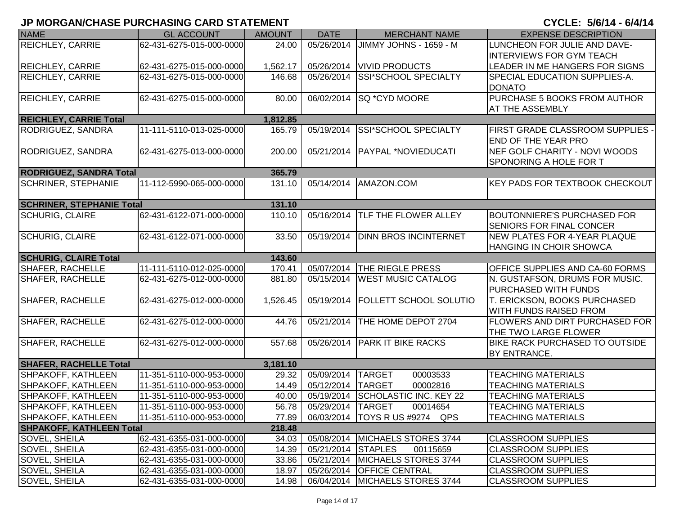| <b>NAME</b>                      | <b>GL ACCOUNT</b>        | <b>AMOUNT</b> | <b>DATE</b>         | <b>MERCHANT NAME</b>              | <b>EXPENSE DESCRIPTION</b>                                            |
|----------------------------------|--------------------------|---------------|---------------------|-----------------------------------|-----------------------------------------------------------------------|
| <b>REICHLEY, CARRIE</b>          | 62-431-6275-015-000-0000 | 24.00         | 05/26/2014          | JIMMY JOHNS - 1659 - M            | LUNCHEON FOR JULIE AND DAVE-                                          |
|                                  |                          |               |                     |                                   | <b>INTERVIEWS FOR GYM TEACH</b>                                       |
| <b>REICHLEY, CARRIE</b>          | 62-431-6275-015-000-0000 | 1,562.17      | 05/26/2014          | <b>VIVID PRODUCTS</b>             | LEADER IN ME HANGERS FOR SIGNS                                        |
| <b>REICHLEY, CARRIE</b>          | 62-431-6275-015-000-0000 | 146.68        | 05/26/2014          | <b>SSI*SCHOOL SPECIALTY</b>       | <b>SPECIAL EDUCATION SUPPLIES-A.</b>                                  |
|                                  |                          |               |                     |                                   | <b>DONATO</b>                                                         |
| <b>REICHLEY, CARRIE</b>          | 62-431-6275-015-000-0000 | 80.00         | 06/02/2014          | SQ *CYD MOORE                     | PURCHASE 5 BOOKS FROM AUTHOR                                          |
|                                  |                          |               |                     |                                   | <b>AT THE ASSEMBLY</b>                                                |
| <b>REICHLEY, CARRIE Total</b>    |                          | 1,812.85      |                     |                                   |                                                                       |
| RODRIGUEZ, SANDRA                | 11-111-5110-013-025-0000 | 165.79        | 05/19/2014          | SSI*SCHOOL SPECIALTY              | <b>FIRST GRADE CLASSROOM SUPPLIES -</b><br><b>END OF THE YEAR PRO</b> |
| RODRIGUEZ, SANDRA                | 62-431-6275-013-000-0000 | 200.00        | 05/21/2014          | <b>PAYPAL *NOVIEDUCATI</b>        | NEF GOLF CHARITY - NOVI WOODS                                         |
|                                  |                          |               |                     |                                   | <b>SPONORING A HOLE FOR T</b>                                         |
| <b>RODRIGUEZ, SANDRA Total</b>   |                          | 365.79        |                     |                                   |                                                                       |
| <b>SCHRINER, STEPHANIE</b>       | 11-112-5990-065-000-0000 | 131.10        | 05/14/2014          | AMAZON.COM                        | <b>KEY PADS FOR TEXTBOOK CHECKOUT</b>                                 |
| <b>SCHRINER, STEPHANIE Total</b> |                          | 131.10        |                     |                                   |                                                                       |
| <b>SCHURIG, CLAIRE</b>           | 62-431-6122-071-000-0000 | 110.10        | 05/16/2014          | TLF THE FLOWER ALLEY              | <b>BOUTONNIERE'S PURCHASED FOR</b>                                    |
|                                  |                          |               |                     |                                   | <b>SENIORS FOR FINAL CONCER</b>                                       |
| <b>SCHURIG, CLAIRE</b>           | 62-431-6122-071-000-0000 | 33.50         | 05/19/2014          | <b>DINN BROS INCINTERNET</b>      | NEW PLATES FOR 4-YEAR PLAQUE                                          |
|                                  |                          |               |                     |                                   | <b>HANGING IN CHOIR SHOWCA</b>                                        |
| <b>SCHURIG, CLAIRE Total</b>     |                          | 143.60        |                     |                                   |                                                                       |
| <b>SHAFER, RACHELLE</b>          | 11-111-5110-012-025-0000 | 170.41        |                     | 05/07/2014   THE RIEGLE PRESS     | <b>OFFICE SUPPLIES AND CA-60 FORMS</b>                                |
| SHAFER, RACHELLE                 | 62-431-6275-012-000-0000 | 881.80        | 05/15/2014          | <b>WEST MUSIC CATALOG</b>         | <b>N. GUSTAFSON, DRUMS FOR MUSIC.</b><br><b>PURCHASED WITH FUNDS</b>  |
| <b>SHAFER, RACHELLE</b>          | 62-431-6275-012-000-0000 | 1,526.45      | 05/19/2014          | <b>FOLLETT SCHOOL SOLUTIO</b>     | <b>T. ERICKSON, BOOKS PURCHASED</b>                                   |
|                                  |                          |               |                     |                                   | <b>WITH FUNDS RAISED FROM</b>                                         |
| <b>SHAFER, RACHELLE</b>          | 62-431-6275-012-000-0000 | 44.76         | 05/21/2014          | THE HOME DEPOT 2704               | <b>FLOWERS AND DIRT PURCHASED FOR</b>                                 |
|                                  |                          |               |                     |                                   | THE TWO LARGE FLOWER                                                  |
| SHAFER, RACHELLE                 | 62-431-6275-012-000-0000 | 557.68        |                     | 05/26/2014 PARK IT BIKE RACKS     | <b>BIKE RACK PURCHASED TO OUTSIDE</b>                                 |
|                                  |                          |               |                     |                                   | BY ENTRANCE.                                                          |
| <b>SHAFER, RACHELLE Total</b>    |                          | 3,181.10      |                     |                                   |                                                                       |
| SHPAKOFF, KATHLEEN               | 11-351-5110-000-953-0000 | 29.32         | 05/09/2014          | <b>TARGET</b><br>00003533         | <b>TEACHING MATERIALS</b>                                             |
| SHPAKOFF, KATHLEEN               | 11-351-5110-000-953-0000 | 14.49         | 05/12/2014          | 00002816<br><b>TARGET</b>         | <b>TEACHING MATERIALS</b>                                             |
| <b>SHPAKOFF, KATHLEEN</b>        | 11-351-5110-000-953-0000 | 40.00         | 05/19/2014          | SCHOLASTIC INC. KEY 22            | <b>TEACHING MATERIALS</b>                                             |
| SHPAKOFF, KATHLEEN               | 11-351-5110-000-953-0000 | 56.78         | 05/29/2014   TARGET | 00014654                          | <b>TEACHING MATERIALS</b>                                             |
| SHPAKOFF, KATHLEEN               | 11-351-5110-000-953-0000 | 77.89         |                     | 06/03/2014   TOYS R US #9274 QPS  | <b>TEACHING MATERIALS</b>                                             |
| <b>SHPAKOFF, KATHLEEN Total</b>  |                          | 218.48        |                     |                                   |                                                                       |
| <b>SOVEL, SHEILA</b>             | 62-431-6355-031-000-0000 | 34.03         |                     | 05/08/2014   MICHAELS STORES 3744 | <b>CLASSROOM SUPPLIES</b>                                             |
| <b>SOVEL, SHEILA</b>             | 62-431-6355-031-000-0000 | 14.39         | 05/21/2014 STAPLES  | 00115659                          | <b>CLASSROOM SUPPLIES</b>                                             |
| <b>SOVEL, SHEILA</b>             | 62-431-6355-031-000-0000 | 33.86         |                     | 05/21/2014 MICHAELS STORES 3744   | <b>CLASSROOM SUPPLIES</b>                                             |
| <b>SOVEL, SHEILA</b>             | 62-431-6355-031-000-0000 | 18.97         |                     | 05/26/2014 OFFICE CENTRAL         | <b>CLASSROOM SUPPLIES</b>                                             |
| <b>SOVEL, SHEILA</b>             | 62-431-6355-031-000-0000 | 14.98         |                     | 06/04/2014 MICHAELS STORES 3744   | <b>CLASSROOM SUPPLIES</b>                                             |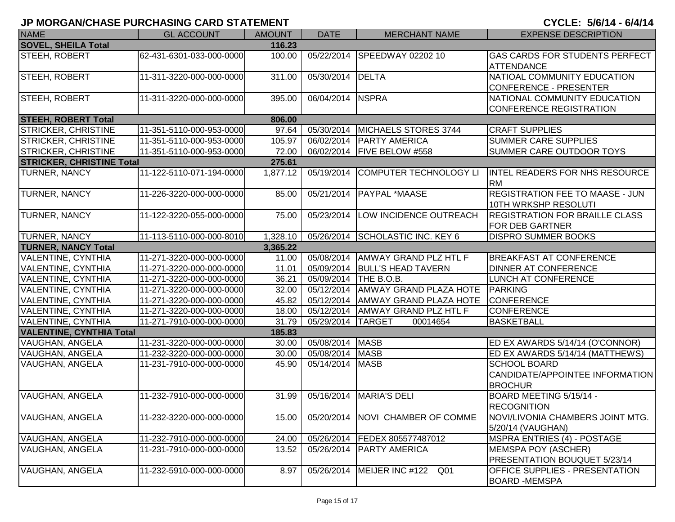| <b>NAME</b>                      | <b>GL ACCOUNT</b>        | <b>AMOUNT</b> | <b>DATE</b>      | <b>MERCHANT NAME</b>               | <b>EXPENSE DESCRIPTION</b>                                               |
|----------------------------------|--------------------------|---------------|------------------|------------------------------------|--------------------------------------------------------------------------|
| <b>SOVEL, SHEILA Total</b>       |                          | 116.23        |                  |                                    |                                                                          |
| <b>STEEH, ROBERT</b>             | 62-431-6301-033-000-0000 | 100.00        |                  | 05/22/2014 SPEEDWAY 02202 10       | <b>GAS CARDS FOR STUDENTS PERFECT</b><br><b>ATTENDANCE</b>               |
| <b>STEEH, ROBERT</b>             | 11-311-3220-000-000-0000 | 311.00        | 05/30/2014 DELTA |                                    | NATIOAL COMMUNITY EDUCATION<br>CONFERENCE - PRESENTER                    |
| STEEH, ROBERT                    | 11-311-3220-000-000-0000 | 395.00        | 06/04/2014 NSPRA |                                    | NATIONAL COMMUNITY EDUCATION<br>CONFERENCE REGISTRATION                  |
| <b>STEEH, ROBERT Total</b>       |                          | 806.00        |                  |                                    |                                                                          |
| <b>STRICKER, CHRISTINE</b>       | 11-351-5110-000-953-0000 | 97.64         | 05/30/2014       | MICHAELS STORES 3744               | <b>CRAFT SUPPLIES</b>                                                    |
| <b>STRICKER, CHRISTINE</b>       | 11-351-5110-000-953-0000 | 105.97        |                  | 06/02/2014   PARTY AMERICA         | <b>SUMMER CARE SUPPLIES</b>                                              |
| STRICKER, CHRISTINE              | 11-351-5110-000-953-0000 | 72.00         |                  | 06/02/2014   FIVE BELOW #558       | <b>SUMMER CARE OUTDOOR TOYS</b>                                          |
| <b>STRICKER, CHRISTINE Total</b> |                          | 275.61        |                  |                                    |                                                                          |
| TURNER, NANCY                    | 11-122-5110-071-194-0000 | 1,877.12      | 05/19/2014       | COMPUTER TECHNOLOGY LI             | INTEL READERS FOR NHS RESOURCE<br><b>RM</b>                              |
| TURNER, NANCY                    | 11-226-3220-000-000-0000 | 85.00         | 05/21/2014       | <b>PAYPAL *MAASE</b>               | <b>REGISTRATION FEE TO MAASE - JUN</b><br>10TH WRKSHP RESOLUTI           |
| TURNER, NANCY                    | 11-122-3220-055-000-0000 | 75.00         | 05/23/2014       | LOW INCIDENCE OUTREACH             | <b>REGISTRATION FOR BRAILLE CLASS</b><br><b>FOR DEB GARTNER</b>          |
| <b>TURNER, NANCY</b>             | 11-113-5110-000-000-8010 | 1,328.10      | 05/26/2014       | <b>SCHOLASTIC INC. KEY 6</b>       | <b>DISPRO SUMMER BOOKS</b>                                               |
| <b>TURNER, NANCY Total</b>       |                          | 3,365.22      |                  |                                    |                                                                          |
| <b>VALENTINE, CYNTHIA</b>        | 11-271-3220-000-000-0000 | 11.00         | 05/08/2014       | <b>AMWAY GRAND PLZ HTL F</b>       | <b>BREAKFAST AT CONFERENCE</b>                                           |
| <b>VALENTINE, CYNTHIA</b>        | 11-271-3220-000-000-0000 | 11.01         |                  | 05/09/2014 BULL'S HEAD TAVERN      | <b>DINNER AT CONFERENCE</b>                                              |
| <b>VALENTINE, CYNTHIA</b>        | 11-271-3220-000-000-0000 | 36.21         | 05/09/2014       | THE B.O.B.                         | <b>LUNCH AT CONFERENCE</b>                                               |
| VALENTINE, CYNTHIA               | 11-271-3220-000-000-0000 | 32.00         | 05/12/2014       | AMWAY GRAND PLAZA HOTE             | PARKING                                                                  |
| VALENTINE, CYNTHIA               | 11-271-3220-000-000-0000 | 45.82         | 05/12/2014       | <b>AMWAY GRAND PLAZA HOTE</b>      | <b>CONFERENCE</b>                                                        |
| VALENTINE, CYNTHIA               | 11-271-3220-000-000-0000 | 18.00         | 05/12/2014       | <b>AMWAY GRAND PLZ HTL F</b>       | <b>CONFERENCE</b>                                                        |
| VALENTINE, CYNTHIA               | 11-271-7910-000-000-0000 | 31.79         | 05/29/2014       | <b>TARGET</b><br>00014654          | <b>BASKETBALL</b>                                                        |
| <b>VALENTINE, CYNTHIA Total</b>  |                          | 185.83        |                  |                                    |                                                                          |
| VAUGHAN, ANGELA                  | 11-231-3220-000-000-0000 | 30.00         | 05/08/2014 MASB  |                                    | ED EX AWARDS 5/14/14 (O'CONNOR)                                          |
| VAUGHAN, ANGELA                  | 11-232-3220-000-000-0000 | 30.00         | 05/08/2014 MASB  |                                    | ED EX AWARDS 5/14/14 (MATTHEWS)                                          |
| VAUGHAN, ANGELA                  | 11-231-7910-000-000-0000 | 45.90         | 05/14/2014 MASB  |                                    | <b>SCHOOL BOARD</b><br>CANDIDATE/APPOINTEE INFORMATION<br><b>BROCHUR</b> |
| VAUGHAN, ANGELA                  | 11-232-7910-000-000-0000 | 31.99         | 05/16/2014       | <b>MARIA'S DELI</b>                | BOARD MEETING 5/15/14 -<br><b>RECOGNITION</b>                            |
| <b>VAUGHAN, ANGELA</b>           | 11-232-3220-000-000-0000 | 15.00         | 05/20/2014       | <b>NOVI CHAMBER OF COMME</b>       | NOVI/LIVONIA CHAMBERS JOINT MTG.<br>5/20/14 (VAUGHAN)                    |
| VAUGHAN, ANGELA                  | 11-232-7910-000-000-0000 | 24.00         | 05/26/2014       | FEDEX 805577487012                 | <b>MSPRA ENTRIES (4) - POSTAGE</b>                                       |
| <b>VAUGHAN, ANGELA</b>           | 11-231-7910-000-000-0000 | 13.52         | 05/26/2014       | <b>PARTY AMERICA</b>               | MEMSPA POY (ASCHER)<br><b>PRESENTATION BOUQUET 5/23/14</b>               |
| VAUGHAN, ANGELA                  | 11-232-5910-000-000-0000 | 8.97          | 05/26/2014       | MEIJER INC #122<br>Q <sub>01</sub> | <b>OFFICE SUPPLIES - PRESENTATION</b><br>BOARD -MEMSPA                   |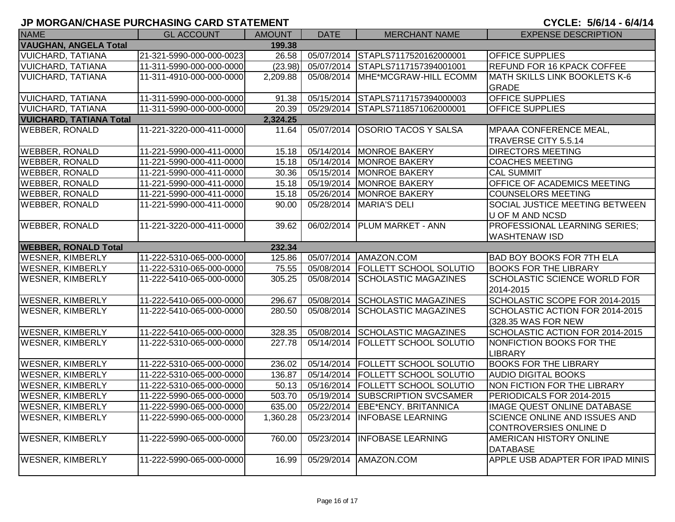| <b>NAME</b>                            | <b>GL ACCOUNT</b>        | <b>AMOUNT</b>      | <b>DATE</b> | <b>MERCHANT NAME</b>          | <b>EXPENSE DESCRIPTION</b>           |  |
|----------------------------------------|--------------------------|--------------------|-------------|-------------------------------|--------------------------------------|--|
| <b>VAUGHAN, ANGELA Total</b><br>199.38 |                          |                    |             |                               |                                      |  |
| <b>VUICHARD, TATIANA</b>               | 21-321-5990-000-000-0023 | 26.58              | 05/07/2014  | STAPLS7117520162000001        | <b>OFFICE SUPPLIES</b>               |  |
| <b>VUICHARD, TATIANA</b>               | 11-311-5990-000-000-0000 | (23.98)            | 05/07/2014  | STAPLS7117157394001001        | REFUND FOR 16 KPACK COFFEE           |  |
| <b>VUICHARD, TATIANA</b>               | 11-311-4910-000-000-0000 | 2,209.88           | 05/08/2014  | MHE*MCGRAW-HILL ECOMM         | <b>MATH SKILLS LINK BOOKLETS K-6</b> |  |
|                                        |                          |                    |             |                               | <b>GRADE</b>                         |  |
| <b>VUICHARD, TATIANA</b>               | 11-311-5990-000-000-0000 | $91.\overline{38}$ | 05/15/2014  | STAPLS7117157394000003        | <b>OFFICE SUPPLIES</b>               |  |
| <b>VUICHARD, TATIANA</b>               | 11-311-5990-000-000-0000 | 20.39              | 05/29/2014  | STAPLS7118571062000001        | OFFICE SUPPLIES                      |  |
| <b>VUICHARD, TATIANA Total</b>         |                          | 2,324.25           |             |                               |                                      |  |
| <b>WEBBER, RONALD</b>                  | 11-221-3220-000-411-0000 | 11.64              | 05/07/2014  | <b>OSORIO TACOS Y SALSA</b>   | MPAAA CONFERENCE MEAL,               |  |
|                                        |                          |                    |             |                               | TRAVERSE CITY 5.5.14                 |  |
| <b>WEBBER, RONALD</b>                  | 11-221-5990-000-411-0000 | 15.18              | 05/14/2014  | <b>MONROE BAKERY</b>          | <b>DIRECTORS MEETING</b>             |  |
| <b>WEBBER, RONALD</b>                  | 11-221-5990-000-411-0000 | 15.18              | 05/14/2014  | <b>MONROE BAKERY</b>          | <b>COACHES MEETING</b>               |  |
| <b>WEBBER, RONALD</b>                  | 11-221-5990-000-411-0000 | 30.36              | 05/15/2014  | <b>MONROE BAKERY</b>          | <b>CAL SUMMIT</b>                    |  |
| <b>WEBBER, RONALD</b>                  | 11-221-5990-000-411-0000 | 15.18              | 05/19/2014  | <b>MONROE BAKERY</b>          | OFFICE OF ACADEMICS MEETING          |  |
| <b>WEBBER, RONALD</b>                  | 11-221-5990-000-411-0000 | 15.18              | 05/26/2014  | <b>MONROE BAKERY</b>          | <b>COUNSELORS MEETING</b>            |  |
| <b>WEBBER, RONALD</b>                  | 11-221-5990-000-411-0000 | 90.00              | 05/28/2014  | <b>MARIA'S DELI</b>           | SOCIAL JUSTICE MEETING BETWEEN       |  |
|                                        |                          |                    |             |                               | <b>U OF M AND NCSD</b>               |  |
| <b>WEBBER, RONALD</b>                  | 11-221-3220-000-411-0000 | 39.62              | 06/02/2014  | <b>PLUM MARKET - ANN</b>      | PROFESSIONAL LEARNING SERIES;        |  |
|                                        |                          |                    |             |                               | <b>WASHTENAW ISD</b>                 |  |
| <b>WEBBER, RONALD Total</b><br>232.34  |                          |                    |             |                               |                                      |  |
| <b>WESNER, KIMBERLY</b>                | 11-222-5310-065-000-0000 | 125.86             | 05/07/2014  | AMAZON.COM                    | <b>BAD BOY BOOKS FOR 7TH ELA</b>     |  |
| <b>WESNER, KIMBERLY</b>                | 11-222-5310-065-000-0000 | 75.55              | 05/08/2014  | <b>FOLLETT SCHOOL SOLUTIO</b> | <b>BOOKS FOR THE LIBRARY</b>         |  |
| <b>WESNER, KIMBERLY</b>                | 11-222-5410-065-000-0000 | 305.25             | 05/08/2014  | <b>SCHOLASTIC MAGAZINES</b>   | SCHOLASTIC SCIENCE WORLD FOR         |  |
|                                        |                          |                    |             |                               | 2014-2015                            |  |
| <b>WESNER, KIMBERLY</b>                | 11-222-5410-065-000-0000 | 296.67             | 05/08/2014  | <b>SCHOLASTIC MAGAZINES</b>   | SCHOLASTIC SCOPE FOR 2014-2015       |  |
| <b>WESNER, KIMBERLY</b>                | 11-222-5410-065-000-0000 | 280.50             | 05/08/2014  | <b>SCHOLASTIC MAGAZINES</b>   | SCHOLASTIC ACTION FOR 2014-2015      |  |
|                                        |                          |                    |             |                               | (328.35 WAS FOR NEW                  |  |
| <b>WESNER, KIMBERLY</b>                | 11-222-5410-065-000-0000 | 328.35             | 05/08/2014  | <b>SCHOLASTIC MAGAZINES</b>   | SCHOLASTIC ACTION FOR 2014-2015      |  |
| <b>WESNER, KIMBERLY</b>                | 11-222-5310-065-000-0000 | 227.78             | 05/14/2014  | <b>FOLLETT SCHOOL SOLUTIO</b> | NONFICTION BOOKS FOR THE             |  |
|                                        |                          |                    |             |                               | LIBRARY                              |  |
| <b>WESNER, KIMBERLY</b>                | 11-222-5310-065-000-0000 | 236.02             | 05/14/2014  | <b>FOLLETT SCHOOL SOLUTIO</b> | <b>BOOKS FOR THE LIBRARY</b>         |  |
| <b>WESNER, KIMBERLY</b>                | 11-222-5310-065-000-0000 | 136.87             | 05/14/2014  | <b>FOLLETT SCHOOL SOLUTIO</b> | <b>AUDIO DIGITAL BOOKS</b>           |  |
| <b>WESNER, KIMBERLY</b>                | 11-222-5310-065-000-0000 | 50.13              | 05/16/2014  | <b>FOLLETT SCHOOL SOLUTIO</b> | NON FICTION FOR THE LIBRARY          |  |
| <b>WESNER, KIMBERLY</b>                | 11-222-5990-065-000-0000 | 503.70             | 05/19/2014  | <b>SUBSCRIPTION SVCSAMER</b>  | PERIODICALS FOR 2014-2015            |  |
| <b>WESNER, KIMBERLY</b>                | 11-222-5990-065-000-0000 | 635.00             | 05/22/2014  | EBE*ENCY. BRITANNICA          | <b>IMAGE QUEST ONLINE DATABASE</b>   |  |
| <b>WESNER, KIMBERLY</b>                | 11-222-5990-065-000-0000 | 1,360.28           | 05/23/2014  | <b>INFOBASE LEARNING</b>      | SCIENCE ONLINE AND ISSUES AND        |  |
|                                        |                          |                    |             |                               | CONTROVERSIES ONLINE D               |  |
| <b>WESNER, KIMBERLY</b>                | 11-222-5990-065-000-0000 | 760.00             | 05/23/2014  | <b>INFOBASE LEARNING</b>      | AMERICAN HISTORY ONLINE              |  |
|                                        |                          |                    |             |                               | <b>DATABASE</b>                      |  |
| <b>WESNER, KIMBERLY</b>                | 11-222-5990-065-000-0000 | 16.99              | 05/29/2014  | AMAZON.COM                    | APPLE USB ADAPTER FOR IPAD MINIS     |  |
|                                        |                          |                    |             |                               |                                      |  |